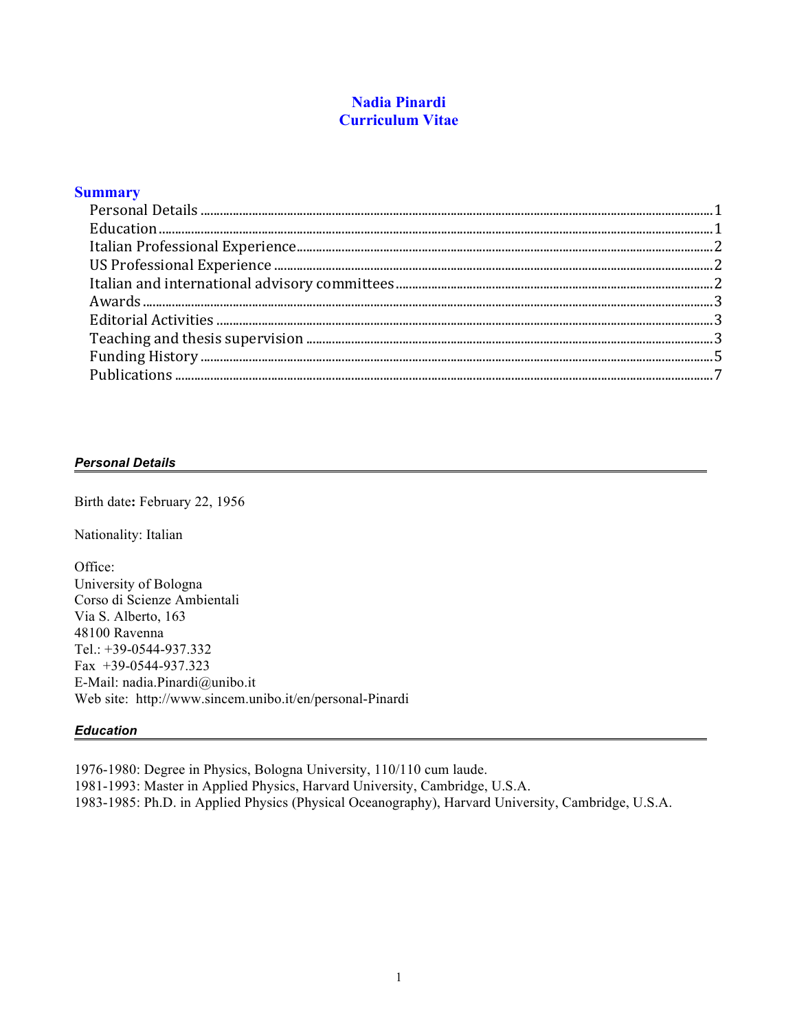# **Nadia Pinardi Curriculum Vitae**

## **Summary**

### *Personal Details*

Birth date**:** February 22, 1956

Nationality: Italian

Office: University of Bologna Corso di Scienze Ambientali Via S. Alberto, 163 48100 Ravenna Tel.: +39-0544-937.332 Fax +39-0544-937.323 E-Mail: nadia.Pinardi@unibo.it Web site: http://www.sincem.unibo.it/en/personal-Pinardi

### *Education*

1976-1980: Degree in Physics, Bologna University, 110/110 cum laude. 1981-1993: Master in Applied Physics, Harvard University, Cambridge, U.S.A. 1983-1985: Ph.D. in Applied Physics (Physical Oceanography), Harvard University, Cambridge, U.S.A.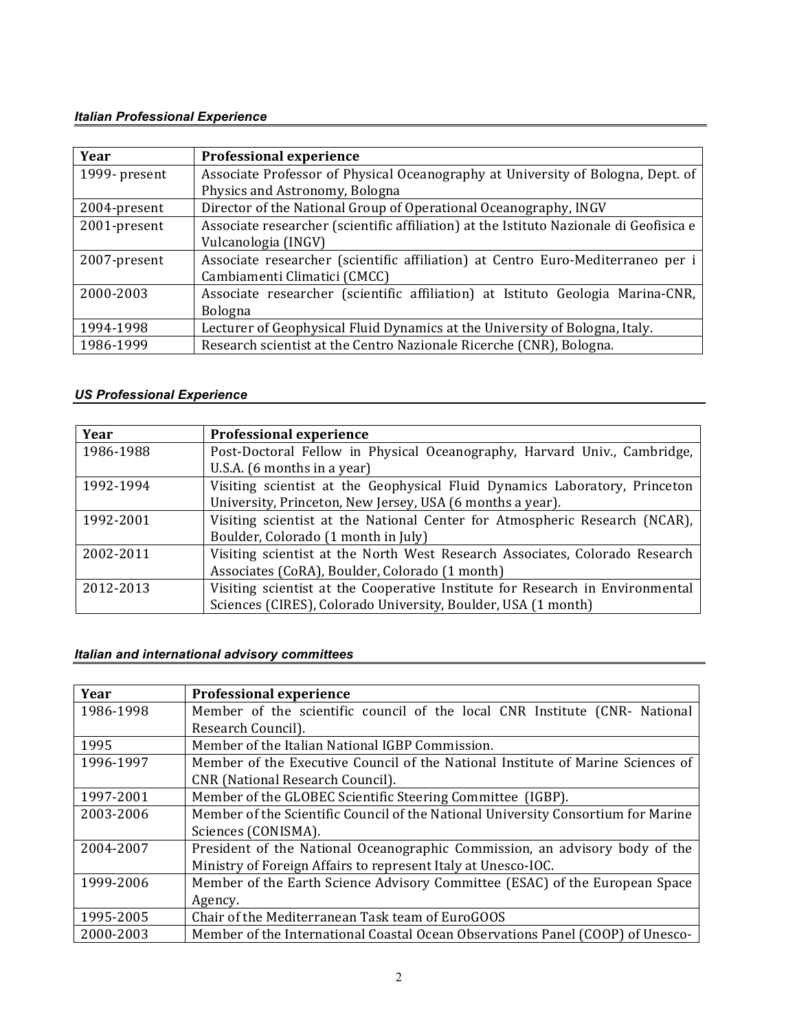# *Italian Professional Experience*

| Year          | <b>Professional experience</b>                                                         |
|---------------|----------------------------------------------------------------------------------------|
| 1999- present | Associate Professor of Physical Oceanography at University of Bologna, Dept. of        |
|               | Physics and Astronomy, Bologna                                                         |
| 2004-present  | Director of the National Group of Operational Oceanography, INGV                       |
| 2001-present  | Associate researcher (scientific affiliation) at the Istituto Nazionale di Geofisica e |
|               | Vulcanologia (INGV)                                                                    |
| 2007-present  | Associate researcher (scientific affiliation) at Centro Euro-Mediterraneo per i        |
|               | Cambiamenti Climatici (CMCC)                                                           |
| 2000-2003     | Associate researcher (scientific affiliation) at Istituto Geologia Marina-CNR,         |
|               | Bologna                                                                                |
| 1994-1998     | Lecturer of Geophysical Fluid Dynamics at the University of Bologna, Italy.            |
| 1986-1999     | Research scientist at the Centro Nazionale Ricerche (CNR), Bologna.                    |

# *US Professional Experience*

| Year      | <b>Professional experience</b>                                                |
|-----------|-------------------------------------------------------------------------------|
| 1986-1988 | Post-Doctoral Fellow in Physical Oceanography, Harvard Univ., Cambridge,      |
|           | U.S.A. (6 months in a year)                                                   |
| 1992-1994 | Visiting scientist at the Geophysical Fluid Dynamics Laboratory, Princeton    |
|           | University, Princeton, New Jersey, USA (6 months a year).                     |
| 1992-2001 | Visiting scientist at the National Center for Atmospheric Research (NCAR),    |
|           | Boulder, Colorado (1 month in July)                                           |
| 2002-2011 | Visiting scientist at the North West Research Associates, Colorado Research   |
|           | Associates (CoRA), Boulder, Colorado (1 month)                                |
| 2012-2013 | Visiting scientist at the Cooperative Institute for Research in Environmental |
|           | Sciences (CIRES), Colorado University, Boulder, USA (1 month)                 |

# *Italian and international advisory committees*

| Year      | <b>Professional experience</b>                                                    |
|-----------|-----------------------------------------------------------------------------------|
| 1986-1998 | Member of the scientific council of the local CNR Institute (CNR- National        |
|           | Research Council).                                                                |
| 1995      | Member of the Italian National IGBP Commission.                                   |
| 1996-1997 | Member of the Executive Council of the National Institute of Marine Sciences of   |
|           | CNR (National Research Council).                                                  |
| 1997-2001 | Member of the GLOBEC Scientific Steering Committee (IGBP).                        |
| 2003-2006 | Member of the Scientific Council of the National University Consortium for Marine |
|           | Sciences (CONISMA).                                                               |
| 2004-2007 | President of the National Oceanographic Commission, an advisory body of the       |
|           | Ministry of Foreign Affairs to represent Italy at Unesco-IOC.                     |
| 1999-2006 | Member of the Earth Science Advisory Committee (ESAC) of the European Space       |
|           | Agency.                                                                           |
| 1995-2005 | Chair of the Mediterranean Task team of EuroGOOS                                  |
| 2000-2003 | Member of the International Coastal Ocean Observations Panel (COOP) of Unesco-    |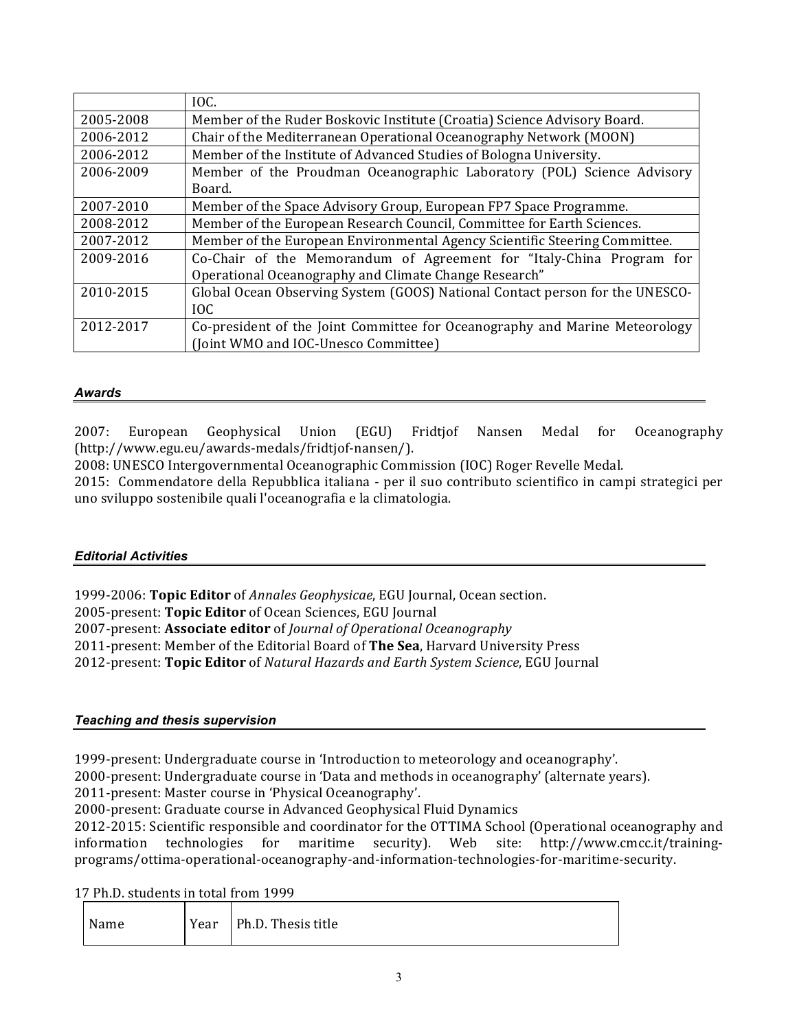|           | IOC.                                                                         |
|-----------|------------------------------------------------------------------------------|
| 2005-2008 | Member of the Ruder Boskovic Institute (Croatia) Science Advisory Board.     |
| 2006-2012 | Chair of the Mediterranean Operational Oceanography Network (MOON)           |
| 2006-2012 | Member of the Institute of Advanced Studies of Bologna University.           |
| 2006-2009 | Member of the Proudman Oceanographic Laboratory (POL) Science Advisory       |
|           | Board.                                                                       |
| 2007-2010 | Member of the Space Advisory Group, European FP7 Space Programme.            |
| 2008-2012 | Member of the European Research Council, Committee for Earth Sciences.       |
| 2007-2012 | Member of the European Environmental Agency Scientific Steering Committee.   |
| 2009-2016 | Co-Chair of the Memorandum of Agreement for "Italy-China Program for         |
|           | Operational Oceanography and Climate Change Research"                        |
| 2010-2015 | Global Ocean Observing System (GOOS) National Contact person for the UNESCO- |
|           | IOC.                                                                         |
| 2012-2017 | Co-president of the Joint Committee for Oceanography and Marine Meteorology  |
|           | (Joint WMO and IOC-Unesco Committee)                                         |

#### *Awards*

2007: European Geophysical Union (EGU) Fridtjof Nansen Medal for Oceanography (http://www.egu.eu/awards-medals/fridtjof-nansen/).

2008: UNESCO Intergovernmental Oceanographic Commission (IOC) Roger Revelle Medal.

2015: Commendatore della Repubblica italiana - per il suo contributo scientifico in campi strategici per uno sviluppo sostenibile quali l'oceanografia e la climatologia.

### *Editorial Activities*

1999-2006: **Topic Editor** of *Annales Geophysicae*, EGU Journal, Ocean section.

2005-present: Topic Editor of Ocean Sciences, EGU Journal

2007-present: **Associate editor** of *Journal of Operational Oceanography* 

2011-present: Member of the Editorial Board of The Sea, Harvard University Press

2012-present: **Topic Editor** of *Natural Hazards and Earth System Science*, EGU Journal

### *Teaching and thesis supervision*

1999-present: Undergraduate course in 'Introduction to meteorology and oceanography'.

2000-present: Undergraduate course in 'Data and methods in oceanography' (alternate years).

2011-present: Master course in 'Physical Oceanography'.

2000-present: Graduate course in Advanced Geophysical Fluid Dynamics

2012-2015: Scientific responsible and coordinator for the OTTIMA School (Operational oceanography and information technologies for maritime security). Web site: http://www.cmcc.it/trainingprograms/ottima-operational-oceanography-and-information-technologies-for-maritime-security.

17 Ph.D. students in total from 1999

| Name | Year | Ph.D. Thesis title |
|------|------|--------------------|
|------|------|--------------------|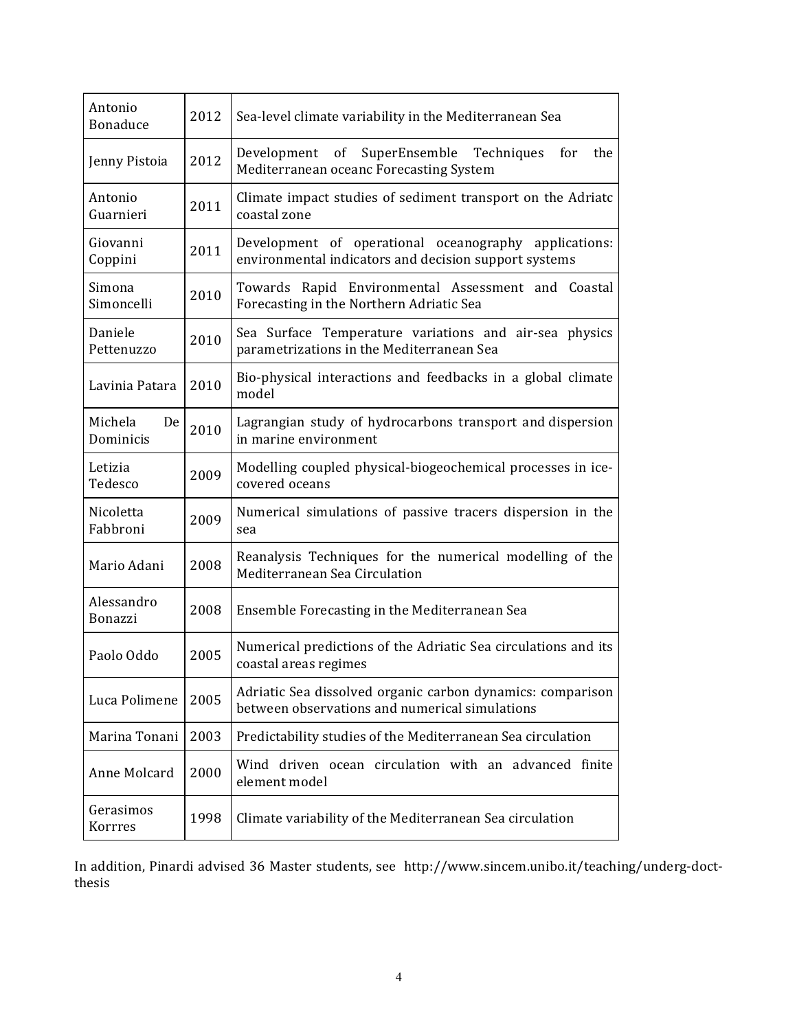| Antonio<br><b>Bonaduce</b> | 2012 | Sea-level climate variability in the Mediterranean Sea                                                         |
|----------------------------|------|----------------------------------------------------------------------------------------------------------------|
| Jenny Pistoia              | 2012 | Development of<br>SuperEnsemble Techniques<br>for<br>the<br>Mediterranean oceanc Forecasting System            |
| Antonio<br>Guarnieri       | 2011 | Climate impact studies of sediment transport on the Adriatc<br>coastal zone                                    |
| Giovanni<br>Coppini        | 2011 | Development of operational oceanography applications:<br>environmental indicators and decision support systems |
| Simona<br>Simoncelli       | 2010 | Towards Rapid Environmental Assessment and Coastal<br>Forecasting in the Northern Adriatic Sea                 |
| Daniele<br>Pettenuzzo      | 2010 | Sea Surface Temperature variations and air-sea physics<br>parametrizations in the Mediterranean Sea            |
| Lavinia Patara             | 2010 | Bio-physical interactions and feedbacks in a global climate<br>model                                           |
| Michela<br>De<br>Dominicis | 2010 | Lagrangian study of hydrocarbons transport and dispersion<br>in marine environment                             |
| Letizia<br>Tedesco         | 2009 | Modelling coupled physical-biogeochemical processes in ice-<br>covered oceans                                  |
| Nicoletta<br>Fabbroni      | 2009 | Numerical simulations of passive tracers dispersion in the<br>sea                                              |
| Mario Adani                | 2008 | Reanalysis Techniques for the numerical modelling of the<br>Mediterranean Sea Circulation                      |
| Alessandro<br>Bonazzi      | 2008 | Ensemble Forecasting in the Mediterranean Sea                                                                  |
| Paolo Oddo                 | 2005 | Numerical predictions of the Adriatic Sea circulations and its<br>coastal areas regimes                        |
| Luca Polimene              | 2005 | Adriatic Sea dissolved organic carbon dynamics: comparison<br>between observations and numerical simulations   |
| Marina Tonani              | 2003 | Predictability studies of the Mediterranean Sea circulation                                                    |
| Anne Molcard               | 2000 | Wind driven ocean circulation with an advanced finite<br>element model                                         |
| Gerasimos<br>Korrres       | 1998 | Climate variability of the Mediterranean Sea circulation                                                       |

In addition, Pinardi advised 36 Master students, see http://www.sincem.unibo.it/teaching/underg-doctthesis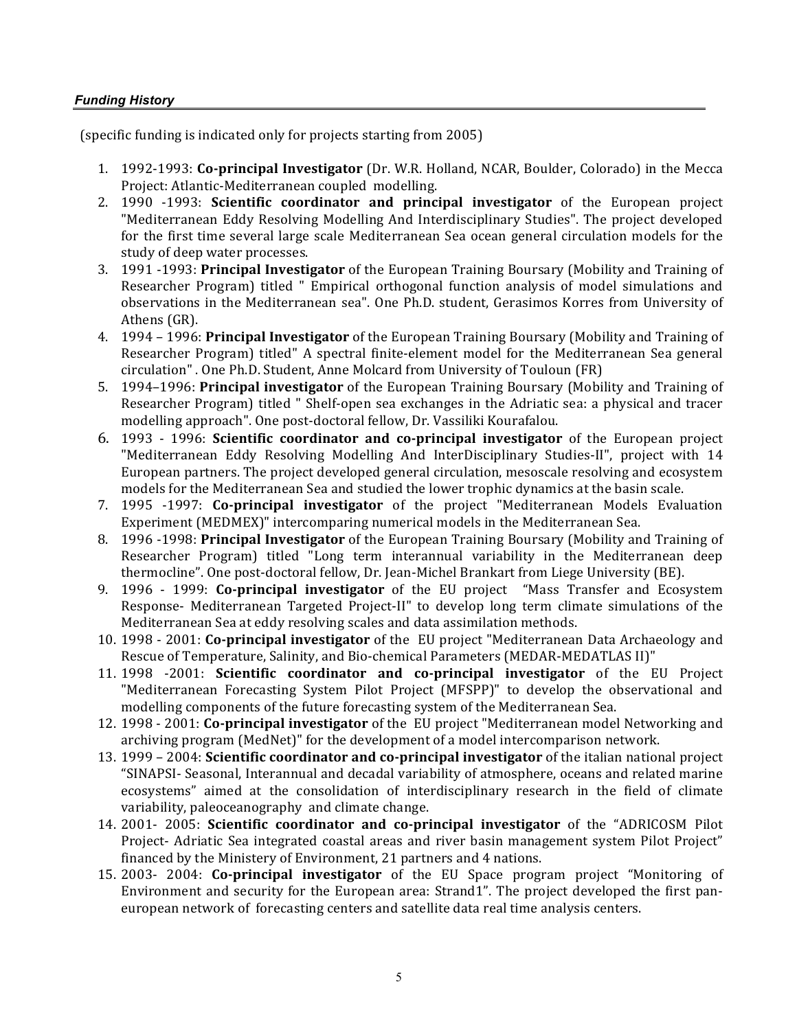### *Funding History*

(specific funding is indicated only for projects starting from 2005)

- 1. 1992-1993: **Co-principal Investigator** (Dr. W.R. Holland, NCAR, Boulder, Colorado) in the Mecca Project: Atlantic-Mediterranean coupled modelling.
- 2. 1990 -1993: **Scientific coordinator and principal investigator** of the European project "Mediterranean Eddy Resolving Modelling And Interdisciplinary Studies". The project developed for the first time several large scale Mediterranean Sea ocean general circulation models for the study of deep water processes.
- 3. 1991 -1993: **Principal Investigator** of the European Training Boursary (Mobility and Training of Researcher Program) titled " Empirical orthogonal function analysis of model simulations and observations in the Mediterranean sea". One Ph.D. student, Gerasimos Korres from University of Athens (GR).
- 4. 1994 1996: **Principal Investigator** of the European Training Boursary (Mobility and Training of Researcher Program) titled" A spectral finite-element model for the Mediterranean Sea general circulation" . One Ph.D. Student, Anne Molcard from University of Touloun (FR)
- 5. 1994–1996: **Principal investigator** of the European Training Boursary (Mobility and Training of Researcher Program) titled " Shelf-open sea exchanges in the Adriatic sea: a physical and tracer modelling approach". One post-doctoral fellow, Dr. Vassiliki Kourafalou.
- 6. 1993 1996: **Scientific coordinator and co-principal investigator** of the European project "Mediterranean Eddy Resolving Modelling And InterDisciplinary Studies-II", project with 14 European partners. The project developed general circulation, mesoscale resolving and ecosystem models for the Mediterranean Sea and studied the lower trophic dynamics at the basin scale.
- 7. 1995 -1997: **Co-principal investigator** of the project "Mediterranean Models Evaluation Experiment (MEDMEX)" intercomparing numerical models in the Mediterranean Sea.
- 8. 1996 -1998: **Principal Investigator** of the European Training Boursary (Mobility and Training of Researcher Program) titled "Long term interannual variability in the Mediterranean deep thermocline". One post-doctoral fellow, Dr. Jean-Michel Brankart from Liege University (BE).
- 9. 1996 1999: Co-principal investigator of the EU project "Mass Transfer and Ecosystem Response- Mediterranean Targeted Project-II" to develop long term climate simulations of the Mediterranean Sea at eddy resolving scales and data assimilation methods.
- 10. 1998 2001: **Co-principal investigator** of the EU project "Mediterranean Data Archaeology and Rescue of Temperature, Salinity, and Bio-chemical Parameters (MEDAR-MEDATLAS II)"
- 11. 1998 -2001: **Scientific coordinator and co-principal investigator** of the EU Project "Mediterranean Forecasting System Pilot Project (MFSPP)" to develop the observational and modelling components of the future forecasting system of the Mediterranean Sea.
- 12. 1998 2001: **Co-principal investigator** of the EU project "Mediterranean model Networking and archiving program (MedNet)" for the development of a model intercomparison network.
- 13. 1999 2004: **Scientific coordinator and co-principal investigator** of the italian national project "SINAPSI- Seasonal, Interannual and decadal variability of atmosphere, oceans and related marine ecosystems" aimed at the consolidation of interdisciplinary research in the field of climate variability, paleoceanography and climate change.
- 14. 2001- 2005: **Scientific coordinator and co-principal investigator** of the "ADRICOSM Pilot Project- Adriatic Sea integrated coastal areas and river basin management system Pilot Project" financed by the Ministery of Environment, 21 partners and 4 nations.
- 15. 2003- 2004: **Co-principal investigator** of the EU Space program project "Monitoring of Environment and security for the European area: Strand1". The project developed the first paneuropean network of forecasting centers and satellite data real time analysis centers.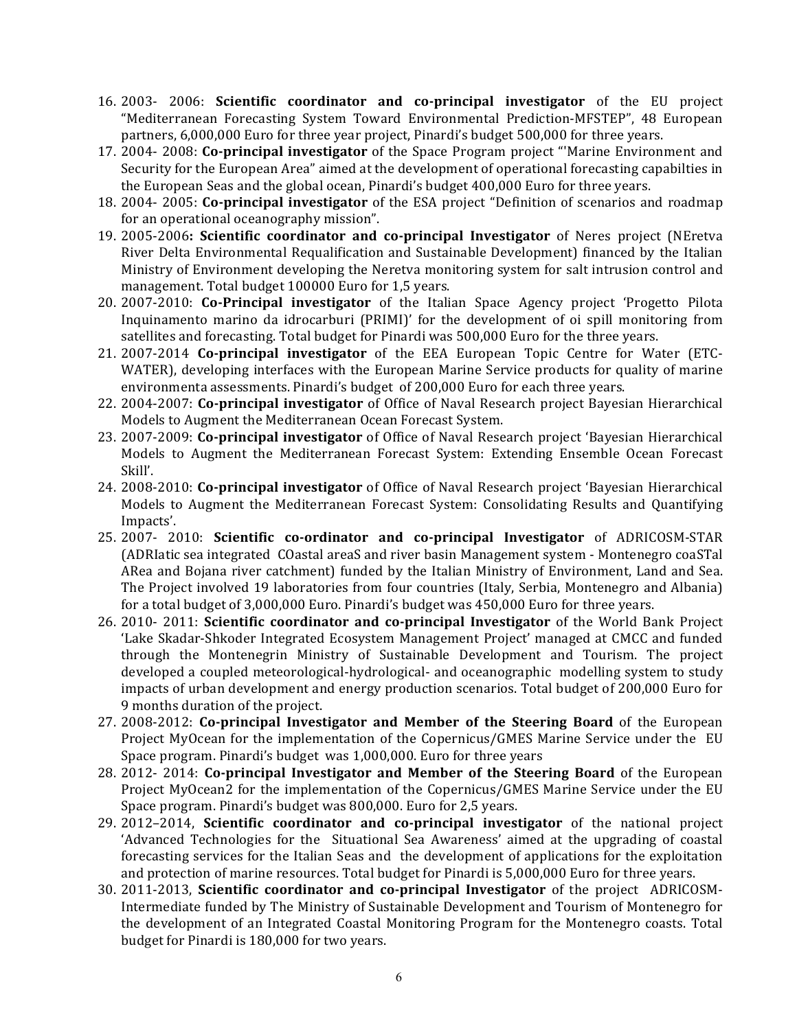- 16. 2003- 2006: **Scientific coordinator and co-principal investigator** of the EU project "Mediterranean Forecasting System Toward Environmental Prediction-MFSTEP", 48 European partners, 6,000,000 Euro for three year project, Pinardi's budget 500,000 for three years.
- 17. 2004- 2008: Co-principal investigator of the Space Program project "Marine Environment and Security for the European Area" aimed at the development of operational forecasting capabilties in the European Seas and the global ocean, Pinardi's budget 400,000 Euro for three years.
- 18. 2004- 2005: **Co-principal investigator** of the ESA project "Definition of scenarios and roadmap for an operational oceanography mission".
- 19. 2005-2006: Scientific coordinator and co-principal Investigator of Neres project (NEretva River Delta Environmental Requalification and Sustainable Development) financed by the Italian Ministry of Environment developing the Neretva monitoring system for salt intrusion control and management. Total budget 100000 Euro for 1,5 years.
- 20. 2007-2010: **Co-Principal investigator** of the Italian Space Agency project 'Progetto Pilota Inquinamento marino da idrocarburi (PRIMI)' for the development of oi spill monitoring from satellites and forecasting. Total budget for Pinardi was 500,000 Euro for the three years.
- 21. 2007-2014 **Co-principal investigator** of the EEA European Topic Centre for Water (ETC-WATER), developing interfaces with the European Marine Service products for quality of marine environmenta assessments. Pinardi's budget of 200,000 Euro for each three years.
- 22. 2004-2007: **Co-principal investigator** of Office of Naval Research project Bayesian Hierarchical Models to Augment the Mediterranean Ocean Forecast System.
- 23. 2007-2009: **Co-principal investigator** of Office of Naval Research project 'Bayesian Hierarchical Models to Augment the Mediterranean Forecast System: Extending Ensemble Ocean Forecast Skill'.
- 24. 2008-2010: **Co-principal investigator** of Office of Naval Research project 'Bayesian Hierarchical Models to Augment the Mediterranean Forecast System: Consolidating Results and Quantifying Impacts'.
- 25. 2007- 2010: **Scientific co-ordinator and co-principal Investigator** of ADRICOSM-STAR (ADRIatic sea integrated COastal areaS and river basin Management system - Montenegro coaSTal ARea and Bojana river catchment) funded by the Italian Ministry of Environment, Land and Sea. The Project involved 19 laboratories from four countries (Italy, Serbia, Montenegro and Albania) for a total budget of 3,000,000 Euro. Pinardi's budget was 450,000 Euro for three years.
- 26. 2010- 2011: Scientific coordinator and co-principal Investigator of the World Bank Project 'Lake Skadar-Shkoder Integrated Ecosystem Management Project' managed at CMCC and funded through the Montenegrin Ministry of Sustainable Development and Tourism. The project developed a coupled meteorological-hydrological- and oceanographic modelling system to study impacts of urban development and energy production scenarios. Total budget of 200,000 Euro for 9 months duration of the project.
- 27. 2008-2012: Co-principal Investigator and Member of the Steering Board of the European Project MyOcean for the implementation of the Copernicus/GMES Marine Service under the EU Space program. Pinardi's budget was 1,000,000. Euro for three years
- 28. 2012- 2014: Co-principal Investigator and Member of the Steering Board of the European Project MyOcean2 for the implementation of the Copernicus/GMES Marine Service under the EU Space program. Pinardi's budget was 800,000. Euro for 2,5 years.
- 29. 2012–2014, **Scientific coordinator and co-principal investigator** of the national project 'Advanced Technologies for the Situational Sea Awareness' aimed at the upgrading of coastal forecasting services for the Italian Seas and the development of applications for the exploitation and protection of marine resources. Total budget for Pinardi is 5,000,000 Euro for three years.
- 30. 2011-2013, **Scientific coordinator and co-principal Investigator** of the project ADRICOSM-Intermediate funded by The Ministry of Sustainable Development and Tourism of Montenegro for the development of an Integrated Coastal Monitoring Program for the Montenegro coasts. Total budget for Pinardi is 180,000 for two years.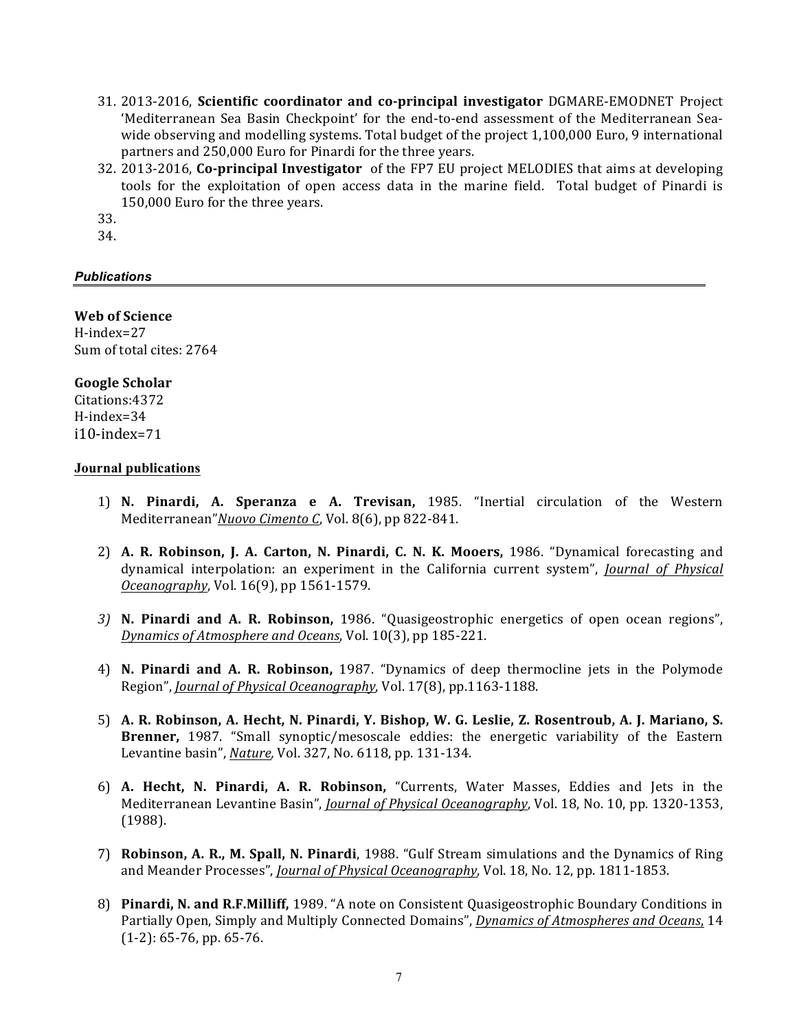- 31. 2013-2016, **Scientific coordinator and co-principal investigator** DGMARE-EMODNET Project 'Mediterranean Sea Basin Checkpoint' for the end-to-end assessment of the Mediterranean Seawide observing and modelling systems. Total budget of the project 1,100,000 Euro, 9 international partners and 250,000 Euro for Pinardi for the three years.
- 32. 2013-2016, **Co-principal Investigator** of the FP7 EU project MELODIES that aims at developing tools for the exploitation of open access data in the marine field. Total budget of Pinardi is 150,000 Euro for the three years.
- 33.
- 34.

## *Publications*

#### **Web of Science**

H-index=27 Sum of total cites: 2764

## **Google Scholar**

Citations:4372 H-index=34 i10-index=71

### **Journal publications**

- 1) N. Pinardi, A. Speranza e A. Trevisan, 1985. "Inertial circulation of the Western Mediterranean" Nuovo Cimento C, Vol. 8(6), pp 822-841.
- 2) **A. R. Robinson, J. A. Carton, N. Pinardi, C. N. K. Mooers,** 1986. "Dynamical forecasting and dynamical interpolation: an experiment in the California current system", *Journal of Physical Oceanography*, Vol. 16(9), pp 1561-1579.
- *3)* **N. Pinardi and A. R. Robinson,**  1986. "Quasigeostrophic energetics of open ocean regions", *Dynamics of Atmosphere and Oceans*, Vol. 10(3), pp 185-221.
- 4) **N. Pinardi and A. R. Robinson,**  1987. "Dynamics of deep thermocline jets in the Polymode Region", *Journal of Physical Oceanography*, Vol. 17(8), pp.1163-1188.
- 5) **A. R. Robinson, A. Hecht, N. Pinardi, Y. Bishop, W. G. Leslie, Z. Rosentroub, A. J. Mariano, S.**  Brenner, 1987. "Small synoptic/mesoscale eddies: the energetic variability of the Eastern Levantine basin", *Nature*, *Vol.* 327, No. 6118, pp. 131-134.
- 6) **A. Hecht, N. Pinardi, A. R. Robinson,**  "Currents, Water Masses, Eddies and Jets in the Mediterranean Levantine Basin", *Journal of Physical Oceanography*, Vol. 18, No. 10, pp. 1320-1353, (1988).
- 7) **Robinson, A. R., M. Spall, N. Pinardi**, 1988. "Gulf Stream simulations and the Dynamics of Ring and Meander Processes", *Journal of Physical Oceanography*, Vol. 18, No. 12, pp. 1811-1853.
- 8) Pinardi, N. and R.F.Milliff, 1989. "A note on Consistent Quasigeostrophic Boundary Conditions in Partially Open, Simply and Multiply Connected Domains", *Dynamics of Atmospheres and Oceans*, 14  $(1-2): 65-76$ , pp. 65-76.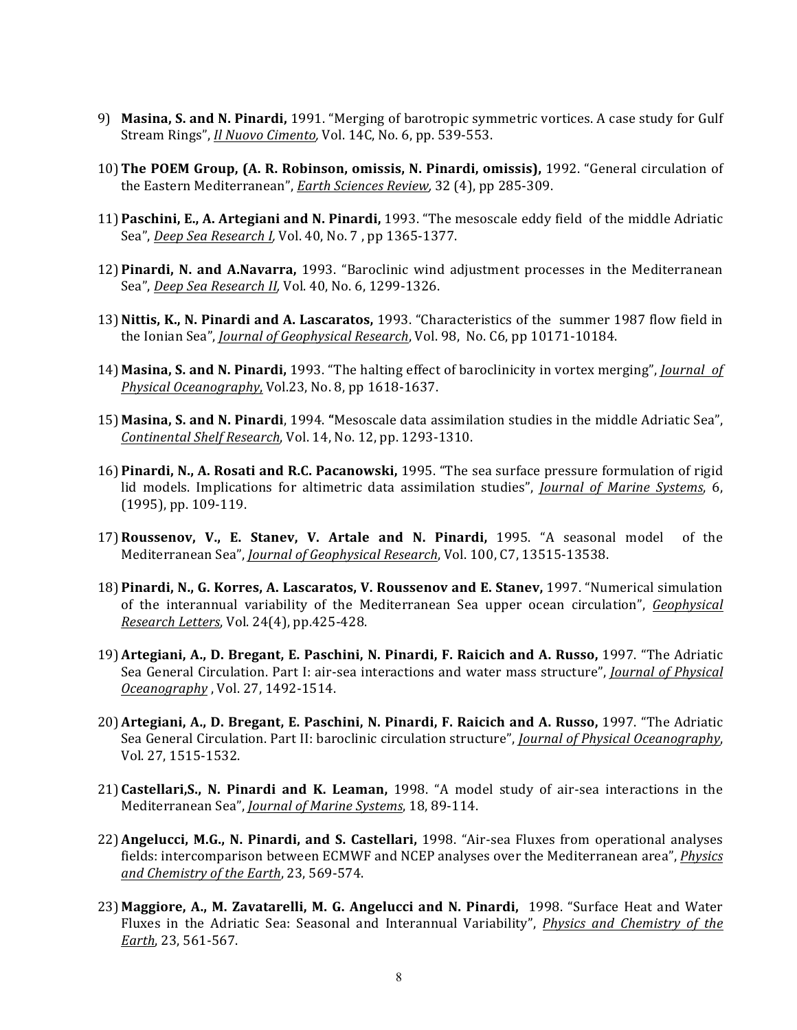- 9) Masina, S. and N. Pinardi, 1991. "Merging of barotropic symmetric vortices. A case study for Gulf Stream Rings", *Il Nuovo Cimento*, Vol. 14C, No. 6, pp. 539-553.
- 10) The POEM Group, (A. R. Robinson, omissis, N. Pinardi, omissis), 1992. "General circulation of the Eastern Mediterranean", *Earth Sciences Review*, 32 (4), pp 285-309.
- 11) **Paschini, E., A. Artegiani and N. Pinardi,** 1993. "The mesoscale eddy field of the middle Adriatic Sea", *Deep Sea Research I*, Vol. 40, No. 7, pp 1365-1377.
- 12) Pinardi, N. and A.Navarra, 1993. "Baroclinic wind adjustment processes in the Mediterranean Sea", *Deep Sea Research II*, Vol. 40, No. 6, 1299-1326.
- 13) Nittis, K., N. Pinardi and A. Lascaratos, 1993. "Characteristics of the summer 1987 flow field in the Ionian Sea", *Journal of Geophysical Research*, Vol. 98, No. C6, pp 10171-10184.
- 14) Masina, S. and N. Pinardi, 1993. "The halting effect of baroclinicity in vortex merging", *Journal of Physical Oceanography*, Vol.23, No. 8, pp 1618-1637.
- 15) Masina, S. and N. Pinardi, 1994. "Mesoscale data assimilation studies in the middle Adriatic Sea", *Continental Shelf Research*, Vol. 14, No. 12, pp. 1293-1310.
- 16) **Pinardi, N., A. Rosati and R.C. Pacanowski,** 1995. "The sea surface pressure formulation of rigid lid models. Implications for altimetric data assimilation studies", *Journal of Marine Systems*, 6,  $(1995)$ , pp. 109-119.
- 17)**Roussenov, V., E. Stanev, V. Artale and N. Pinardi,**  1995. "A seasonal model of the Mediterranean Sea", *Journal of Geophysical Research*, Vol. 100, C7, 13515-13538.
- 18) Pinardi, N., G. Korres, A. Lascaratos, V. Roussenov and E. Stanev, 1997. "Numerical simulation of the interannual variability of the Mediterranean Sea upper ocean circulation", *Geophysical Research Letters*, Vol. 24(4), pp.425-428.
- 19)**Artegiani, A., D. Bregant, E. Paschini, N. Pinardi, F. Raicich and A. Russo,** 1997. "The Adriatic Sea General Circulation. Part I: air-sea interactions and water mass structure", *Journal of Physical <u>Oceanography</u>*, Vol. 27, 1492-1514.
- 20) Artegiani, A., D. Bregant, E. Paschini, N. Pinardi, F. Raicich and A. Russo, 1997. "The Adriatic Sea General Circulation. Part II: baroclinic circulation structure", *Journal of Physical Oceanography*, Vol. 27, 1515-1532.
- 21) **Castellari, S., N. Pinardi and K. Leaman,** 1998. "A model study of air-sea interactions in the Mediterranean Sea", *Journal of Marine Systems*, 18, 89-114.
- 22) Angelucci, M.G., N. Pinardi, and S. Castellari, 1998. "Air-sea Fluxes from operational analyses fields: intercomparison between ECMWF and NCEP analyses over the Mediterranean area", *Physics and Chemistry of the Earth*, 23, 569-574.
- 23) Maggiore, A., M. Zavatarelli, M. G. Angelucci and N. Pinardi, 1998. "Surface Heat and Water Fluxes in the Adriatic Sea: Seasonal and Interannual Variability", *Physics and Chemistry of the Earth*, 23, 561-567.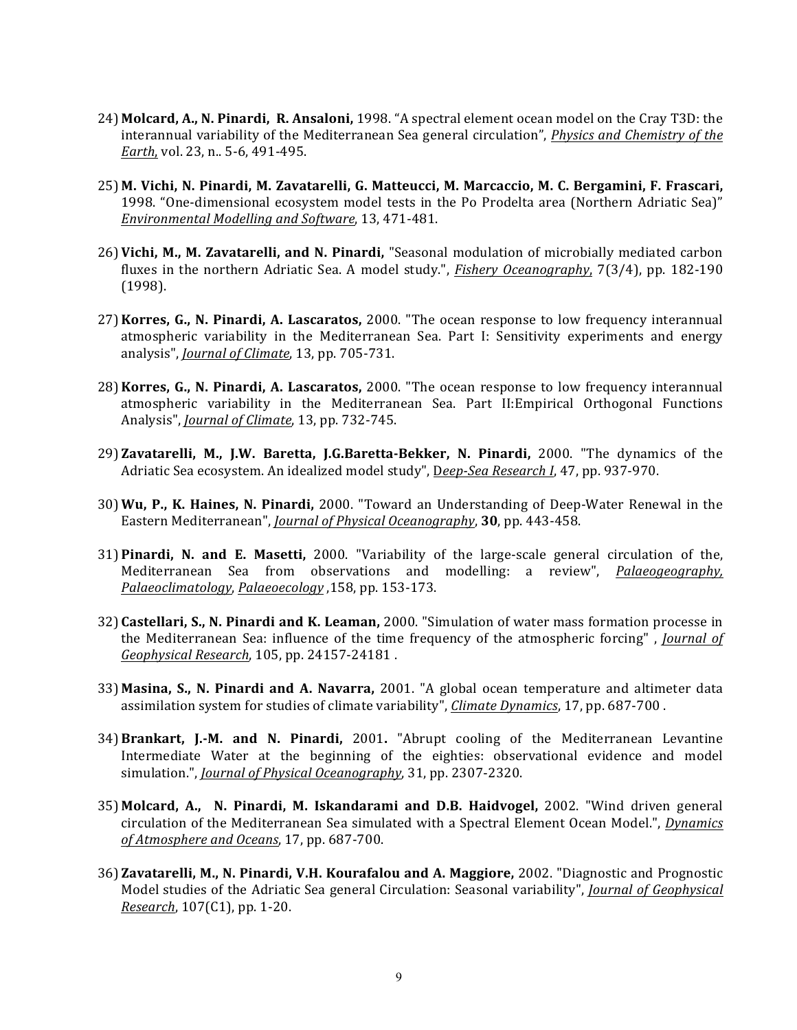- 24) Molcard, A., N. Pinardi, R. Ansaloni, 1998. "A spectral element ocean model on the Cray T3D: the interannual variability of the Mediterranean Sea general circulation", *Physics and Chemistry of the Earth*, vol. 23, n., 5-6, 491-495.
- 25) M. Vichi, N. Pinardi, M. Zavatarelli, G. Matteucci, M. Marcaccio, M. C. Bergamini, F. Frascari, 1998. "One-dimensional ecosystem model tests in the Po Prodelta area (Northern Adriatic Sea)" *Environmental Modelling and Software*, 13, 471-481.
- 26) Vichi, M., M. Zavatarelli, and N. Pinardi, "Seasonal modulation of microbially mediated carbon fluxes in the northern Adriatic Sea. A model study.", *Fishery Oceanography*, 7(3/4), pp. 182-190 (1998).
- 27) Korres, G., N. Pinardi, A. Lascaratos, 2000. "The ocean response to low frequency interannual atmospheric variability in the Mediterranean Sea. Part I: Sensitivity experiments and energy analysis", *Journal of Climate*, 13, pp. 705-731.
- 28) Korres, G., N. Pinardi, A. Lascaratos, 2000. "The ocean response to low frequency interannual atmospheric variability in the Mediterranean Sea. Part II: Empirical Orthogonal Functions Analysis", *Journal of Climate*, 13, pp. 732-745.
- 29) **Zavatarelli, M., J.W. Baretta, J.G.Baretta-Bekker, N. Pinardi, 2000. "The dynamics of the** Adriatic Sea ecosystem. An idealized model study", Deep-Sea Research I, 47, pp. 937-970.
- 30) Wu, P., K. Haines, N. Pinardi, 2000. "Toward an Understanding of Deep-Water Renewal in the Eastern Mediterranean", *Journal of Physical Oceanography*, 30, pp. 443-458.
- **31) Pinardi, N. and E. Masetti,** 2000. "Variability of the large-scale general circulation of the, Mediterranean Sea from observations and modelling: a review", *Palaeogeography*, *Palaeoclimatology*, *Palaeoecology* ,158, pp. 153-173.
- 32) Castellari, S., N. Pinardi and K. Leaman, 2000. "Simulation of water mass formation processe in the Mediterranean Sea: influence of the time frequency of the atmospheric forcing", *Journal of Geophysical Research*, 105, pp. 24157-24181 .
- 33) Masina, S., N. Pinardi and A. Navarra, 2001. "A global ocean temperature and altimeter data assimilation system for studies of climate variability", *Climate Dynamics*, 17, pp. 687-700.
- 34)**Brankart, J.-M. and N. Pinardi,**  2001**.**  "Abrupt cooling of the Mediterranean Levantine Intermediate Water at the beginning of the eighties: observational evidence and model simulation.", *Journal of Physical Oceanography*, 31, pp. 2307-2320.
- **35) Molcard, A., N. Pinardi, M. Iskandarami and D.B. Haidvogel, 2002. "Wind driven general** circulation of the Mediterranean Sea simulated with a Spectral Element Ocean Model.", *Dynamics of Atmosphere and Oceans*, 17, pp. 687-700.
- 36) Zavatarelli, M., N. Pinardi, V.H. Kourafalou and A. Maggiore, 2002. "Diagnostic and Prognostic Model studies of the Adriatic Sea general Circulation: Seasonal variability", *Journal of Geophysical Research*, 107(C1), pp. 1-20.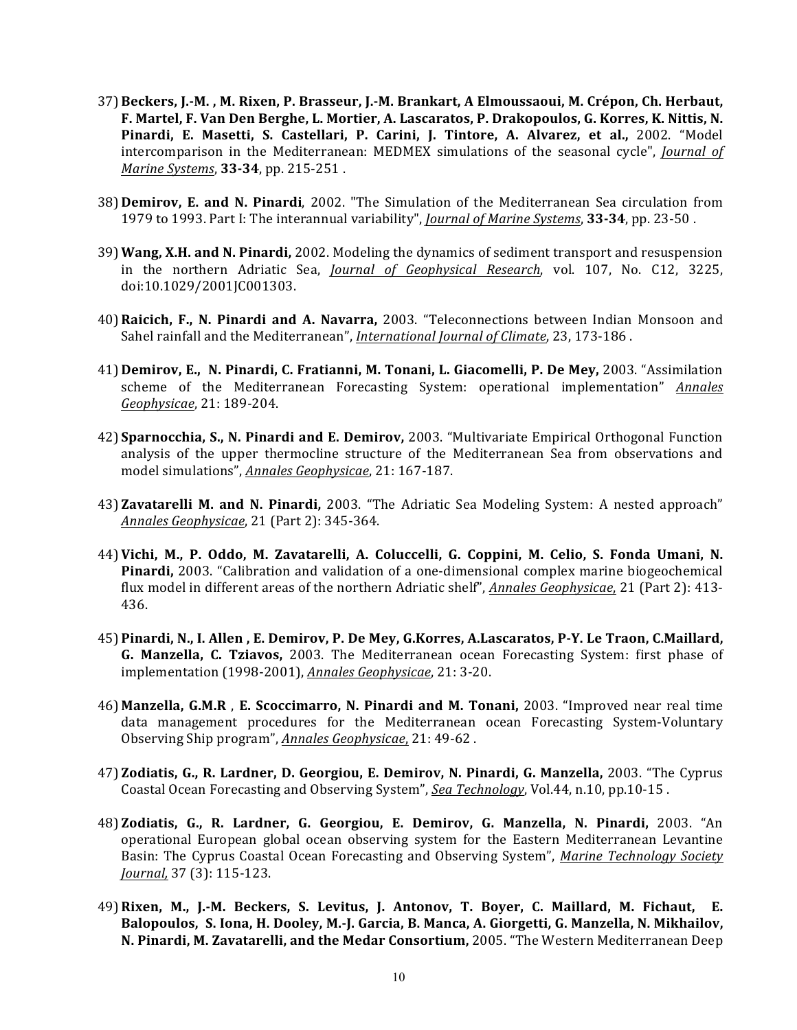- 37) Beckers, J.-M., M. Rixen, P. Brasseur, J.-M. Brankart, A Elmoussaoui, M. Crépon, Ch. Herbaut, F. Martel, F. Van Den Berghe, L. Mortier, A. Lascaratos, P. Drakopoulos, G. Korres, K. Nittis, N. Pinardi, E. Masetti, S. Castellari, P. Carini, J. Tintore, A. Alvarez, et al., 2002. "Model intercomparison in the Mediterranean: MEDMEX simulations of the seasonal cycle", *Journal of Marine Systems*, 33-34, pp. 215-251.
- **38) Demirov, E. and N. Pinardi**, 2002. "The Simulation of the Mediterranean Sea circulation from 1979 to 1993. Part I: The interannual variability", *Journal of Marine Systems*, **33-34**, pp. 23-50 .
- 39) **Wang, X.H. and N. Pinardi,** 2002. Modeling the dynamics of sediment transport and resuspension in the northern Adriatic Sea, *Journal of Geophysical Research*, vol. 107, No. C12, 3225, doi:10.1029/2001JC001303.
- 40)**Raicich, F., N. Pinardi and A. Navarra,**  2003. "Teleconnections between Indian Monsoon and Sahel rainfall and the Mediterranean", *International Journal of Climate*, 23, 173-186.
- 41) **Demirov, E., N. Pinardi, C. Fratianni, M. Tonani, L. Giacomelli, P. De Mey,** 2003. "Assimilation scheme of the Mediterranean Forecasting System: operational implementation" *Annales Geophysicae*, 21: 189-204.
- 42) **Sparnocchia, S., N. Pinardi and E. Demirov,** 2003. "Multivariate Empirical Orthogonal Function analysis of the upper thermocline structure of the Mediterranean Sea from observations and model simulations", *Annales Geophysicae*, 21: 167-187.
- **43) Zavatarelli M. and N. Pinardi,** 2003. "The Adriatic Sea Modeling System: A nested approach" *Annales Geophysicae*, 21 (Part 2): 345-364.
- 44) Vichi, M., P. Oddo, M. Zavatarelli, A. Coluccelli, G. Coppini, M. Celio, S. Fonda Umani, N. **Pinardi,** 2003. "Calibration and validation of a one-dimensional complex marine biogeochemical flux model in different areas of the northern Adriatic shelf", *Annales Geophysicae*, 21 (Part 2): 413-436.
- 45) Pinardi, N., I. Allen, E. Demirov, P. De Mey, G.Korres, A.Lascaratos, P-Y. Le Traon, C.Maillard, **G. Manzella, C. Tziavos,** 2003. The Mediterranean ocean Forecasting System: first phase of implementation (1998-2001), *Annales Geophysicae*, 21: 3-20.
- **46) Manzella, G.M.R**, E. Scoccimarro, N. Pinardi and M. Tonani, 2003. "Improved near real time data management procedures for the Mediterranean ocean Forecasting System-Voluntary Observing Ship program", *Annales Geophysicae*, 21: 49-62.
- 47) Zodiatis, G., R. Lardner, D. Georgiou, E. Demirov, N. Pinardi, G. Manzella, 2003. "The Cyprus Coastal Ocean Forecasting and Observing System", *Sea Technology*, Vol.44, n.10, pp.10-15.
- 48) **Zodiatis, G., R. Lardner, G. Georgiou, E. Demirov, G. Manzella, N. Pinardi,**  2003. "An operational European global ocean observing system for the Eastern Mediterranean Levantine Basin: The Cyprus Coastal Ocean Forecasting and Observing System", *Marine Technology Society Journal,* 37 (3): 115-123.
- 49) Rixen, M., J.-M. Beckers, S. Levitus, J. Antonov, T. Boyer, C. Maillard, M. Fichaut, E. Balopoulos, S. Iona, H. Dooley, M.-J. Garcia, B. Manca, A. Giorgetti, G. Manzella, N. Mikhailov, **N. Pinardi, M. Zavatarelli, and the Medar Consortium,** 2005. "The Western Mediterranean Deep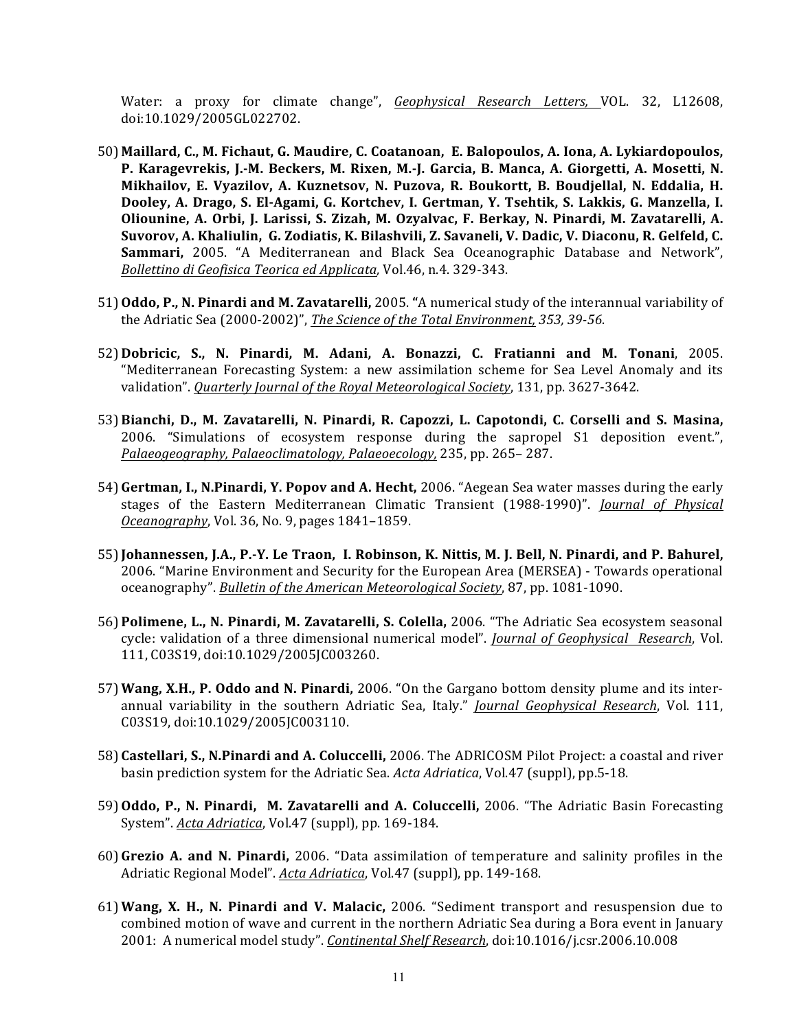Water: a proxy for climate change", *Geophysical Research Letters*, VOL. 32, L12608, doi:10.1029/2005GL022702. 

- 50) Maillard, C., M. Fichaut, G. Maudire, C. Coatanoan, E. Balopoulos, A. Iona, A. Lykiardopoulos, P. Karagevrekis, J.-M. Beckers, M. Rixen, M.-J. Garcia, B. Manca, A. Giorgetti, A. Mosetti, N. Mikhailov, E. Vyazilov, A. Kuznetsov, N. Puzova, R. Boukortt, B. Boudjellal, N. Eddalia, H. Dooley, A. Drago, S. El-Agami, G. Kortchev, I. Gertman, Y. Tsehtik, S. Lakkis, G. Manzella, I. **Oliounine, A. Orbi, J. Larissi, S. Zizah, M. Ozyalvac, F. Berkay, N. Pinardi, M. Zavatarelli, A.**  Suvorov, A. Khaliulin, G. Zodiatis, K. Bilashvili, Z. Savaneli, V. Dadic, V. Diaconu, R. Gelfeld, C. **Sammari,** 2005. "A Mediterranean and Black Sea Oceanographic Database and Network", *Bollettino di Geofisica Teorica ed Applicata, Vol.46, n.4.* 329-343.
- 51) **Oddo, P., N. Pinardi and M. Zavatarelli,** 2005. "A numerical study of the interannual variability of the Adriatic Sea (2000-2002)", *The Science of the Total Environment*, 353, 39-56.
- 52) **Dobricic, S., N. Pinardi, M. Adani, A. Bonazzi, C. Fratianni and M. Tonani**, 2005. "Mediterranean Forecasting System: a new assimilation scheme for Sea Level Anomaly and its validation". Quarterly Journal of the Royal Meteorological Society, 131, pp. 3627-3642.
- 53) Bianchi, D., M. Zavatarelli, N. Pinardi, R. Capozzi, L. Capotondi, C. Corselli and S. Masina, 2006. "Simulations of ecosystem response during the sapropel S1 deposition event.", Palaeogeography, Palaeoclimatology, Palaeoecology, 235, pp. 265- 287.
- 54) Gertman, I., N.Pinardi, Y. Popov and A. Hecht, 2006. "Aegean Sea water masses during the early stages of the Eastern Mediterranean Climatic Transient (1988-1990)". *Journal of Physical Oceanography*, Vol. 36, No. 9, pages 1841–1859.
- 55)**Johannessen, J.A., P.-Y. Le Traon, I. Robinson, K. Nittis, M. J. Bell, N. Pinardi, and P. Bahurel,** 2006. "Marine Environment and Security for the European Area (MERSEA) - Towards operational oceanography". *Bulletin of the American Meteorological Society*, 87, pp. 1081-1090.
- 56) Polimene, L., N. Pinardi, M. Zavatarelli, S. Colella, 2006. "The Adriatic Sea ecosystem seasonal cycle: validation of a three dimensional numerical model". *Journal of Geophysical Research*, Vol. 111, C03S19, doi:10.1029/2005JC003260.
- 57) Wang, X.H., P. Oddo and N. Pinardi, 2006. "On the Gargano bottom density plume and its interannual variability in the southern Adriatic Sea, Italy." *Journal Geophysical Research*, Vol. 111, C03S19, doi:10.1029/2005JC003110.
- 58) Castellari, S., N.Pinardi and A. Coluccelli, 2006. The ADRICOSM Pilot Project: a coastal and river basin prediction system for the Adriatic Sea. *Acta Adriatica*, Vol.47 (suppl), pp.5-18.
- 59) **Oddo, P., N. Pinardi, M. Zavatarelli and A. Coluccelli,** 2006. "The Adriatic Basin Forecasting System". Acta Adriatica, Vol.47 (suppl), pp. 169-184.
- 60)**Grezio A. and N. Pinardi,** 2006. "Data assimilation of temperature and salinity profiles in the Adriatic Regional Model". *Acta Adriatica*, Vol.47 (suppl), pp. 149-168.
- 61) Wang, X. H., N. Pinardi and V. Malacic, 2006. "Sediment transport and resuspension due to combined motion of wave and current in the northern Adriatic Sea during a Bora event in January 2001: A numerical model study". *Continental Shelf Research*, doi:10.1016/j.csr.2006.10.008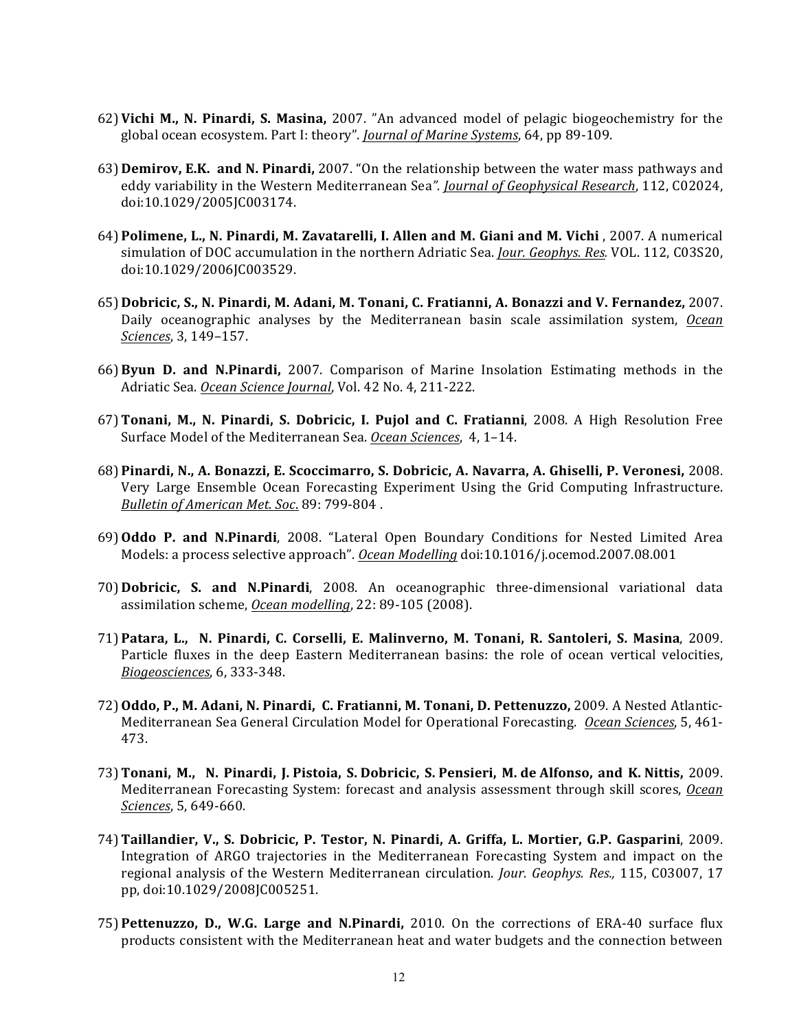- 62) Vichi M., N. Pinardi, S. Masina, 2007. "An advanced model of pelagic biogeochemistry for the global ocean ecosystem. Part I: theory". *Journal of Marine Systems*, 64, pp 89-109.
- 63) **Demirov, E.K. and N. Pinardi,** 2007. "On the relationship between the water mass pathways and eddy variability in the Western Mediterranean Sea". *Journal of Geophysical Research*, 112, C02024, doi:10.1029/2005JC003174.
- 64) **Polimene, L., N. Pinardi, M. Zavatarelli, I. Allen and M. Giani and M. Vichi**, 2007. A numerical simulation of DOC accumulation in the northern Adriatic Sea. *Jour. Geophys. Res.* VOL. 112, C03S20, doi:10.1029/2006JC003529.
- 65) Dobricic, S., N. Pinardi, M. Adani, M. Tonani, C. Fratianni, A. Bonazzi and V. Fernandez, 2007. Daily oceanographic analyses by the Mediterranean basin scale assimilation system, *Ocean Sciences*, 3, 149-157.
- 66)**Byun D. and N.Pinardi,** 2007. Comparison of Marine Insolation Estimating methods in the Adriatic Sea. Ocean Science Journal, Vol. 42 No. 4, 211-222.
- 67)**Tonani, M., N. Pinardi, S. Dobricic, I. Pujol and C. Fratianni**, 2008. A High Resolution Free Surface Model of the Mediterranean Sea. Ocean Sciences, 4, 1-14.
- 68) **Pinardi, N., A. Bonazzi, E. Scoccimarro, S. Dobricic, A. Navarra, A. Ghiselli, P. Veronesi,** 2008. Very Large Ensemble Ocean Forecasting Experiment Using the Grid Computing Infrastructure. *Bulletin of American Met. Soc*. 89: 799-804 .
- 69)**Oddo P. and N.Pinardi**, 2008. "Lateral Open Boundary Conditions for Nested Limited Area Models: a process selective approach". Ocean Modelling doi:10.1016/j.ocemod.2007.08.001
- 70) **Dobricic, S. and N.Pinardi**, 2008. An oceanographic three-dimensional variational data assimilation scheme, **Ocean modelling**, 22: 89-105 (2008).
- 71) **Patara, L., N. Pinardi, C. Corselli, E. Malinverno, M. Tonani, R. Santoleri, S. Masina**, 2009. Particle fluxes in the deep Eastern Mediterranean basins: the role of ocean vertical velocities, *Biogeosciences*, 6, 333-348.
- 72)**Oddo, P., M. Adani, N. Pinardi, C. Fratianni, M. Tonani, D. Pettenuzzo,** 2009. A Nested Atlantic-Mediterranean Sea General Circulation Model for Operational Forecasting. *Ocean Sciences*, 5, 461-473.
- 73)**Tonani, M., N. Pinardi, J. Pistoia, S. Dobricic, S. Pensieri, M. de Alfonso, and K. Nittis,** 2009. Mediterranean Forecasting System: forecast and analysis assessment through skill scores, *Ocean Sciences*, 5, 649-660.
- 74)**Taillandier, V., S. Dobricic, P. Testor, N. Pinardi, A. Griffa, L. Mortier, G.P. Gasparini**, 2009. Integration of ARGO trajectories in the Mediterranean Forecasting System and impact on the regional analysis of the Western Mediterranean circulation. *Jour. Geophys. Res.*, 115, C03007, 17 pp, doi:10.1029/2008JC005251.
- **75) Pettenuzzo, D., W.G. Large and N.Pinardi,** 2010. On the corrections of ERA-40 surface flux products consistent with the Mediterranean heat and water budgets and the connection between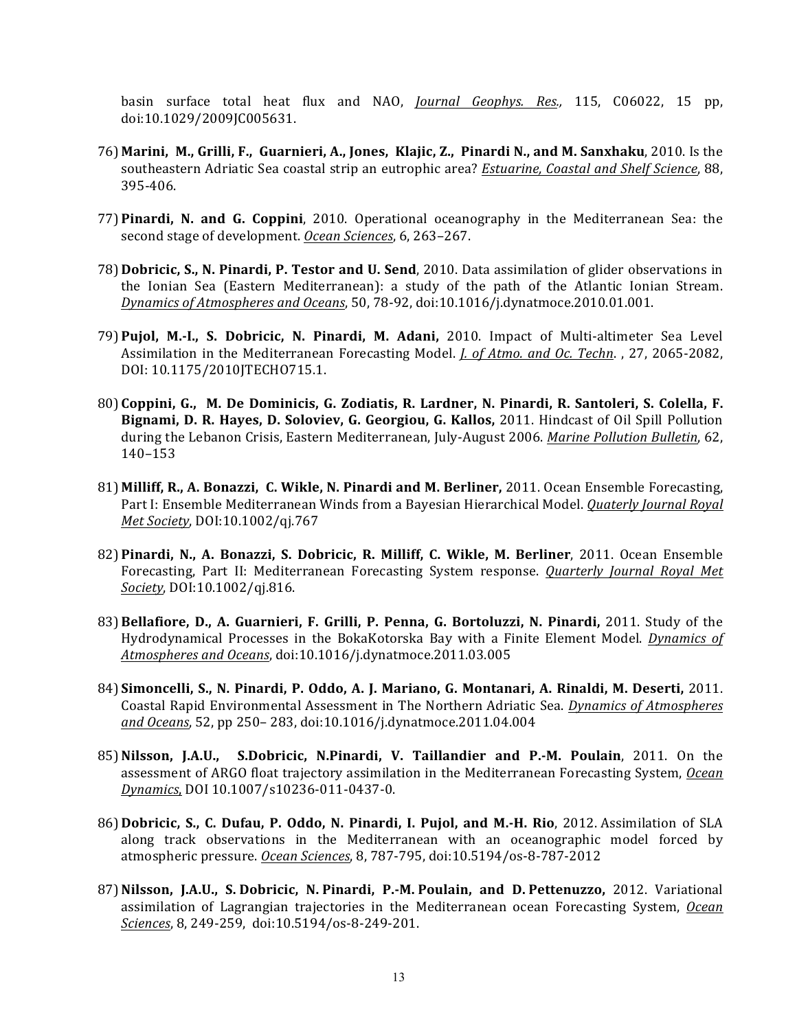basin surface total heat flux and NAO, *Journal Geophys. Res.*, 115, C06022, 15 pp, doi:10.1029/2009JC005631. 

- 76) **Marini, M., Grilli, F., Guarnieri, A., Jones, Klajic, Z., Pinardi N., and M. Sanxhaku**, 2010. Is the southeastern Adriatic Sea coastal strip an eutrophic area? *Estuarine, Coastal and Shelf Science*, 88, 395-406.
- **77) Pinardi, N. and G. Coppini**, 2010. Operational oceanography in the Mediterranean Sea: the second stage of development. Ocean Sciences, 6, 263-267.
- 78) **Dobricic, S., N. Pinardi, P. Testor and U. Send**, 2010. Data assimilation of glider observations in the Ionian Sea (Eastern Mediterranean): a study of the path of the Atlantic Ionian Stream. *Dynamics of Atmospheres and Oceans*, 50, 78-92, doi:10.1016/j.dynatmoce.2010.01.001.
- 79) Pujol, M.-I., S. Dobricic, N. Pinardi, M. Adani, 2010. Impact of Multi-altimeter Sea Level Assimilation in the Mediterranean Forecasting Model. *J. of Atmo. and Oc. Techn.*, 27, 2065-2082, DOI: 10.1175/2010JTECHO715.1.
- 80) Coppini, G., M. De Dominicis, G. Zodiatis, R. Lardner, N. Pinardi, R. Santoleri, S. Colella, F. **Bignami, D. R. Hayes, D. Soloviev, G. Georgiou, G. Kallos, 2011.** Hindcast of Oil Spill Pollution during the Lebanon Crisis, Eastern Mediterranean, July-August 2006. *Marine Pollution Bulletin*, 62, 140–153
- 81) Milliff, R., A. Bonazzi, C. Wikle, N. Pinardi and M. Berliner, 2011. Ocean Ensemble Forecasting, Part I: Ensemble Mediterranean Winds from a Bayesian Hierarchical Model. *Quaterly Journal Royal Met Society*, DOI:10.1002/qj.767
- 82) Pinardi, N., A. Bonazzi, S. Dobricic, R. Milliff, C. Wikle, M. Berliner, 2011. Ocean Ensemble Forecasting, Part II: Mediterranean Forecasting System response. *Quarterly Journal Royal Met Society*, DOI:10.1002/qj.816.
- 83)**Bellafiore, D., A. Guarnieri, F. Grilli, P. Penna, G. Bortoluzzi, N. Pinardi,** 2011. Study of the Hydrodynamical Processes in the BokaKotorska Bay with a Finite Element Model. *Dynamics of Atmospheres and Oceans*, doi:10.1016/j.dynatmoce.2011.03.005
- 84) **Simoncelli, S., N. Pinardi, P. Oddo, A. J. Mariano, G. Montanari, A. Rinaldi, M. Deserti,** 2011. Coastal Rapid Environmental Assessment in The Northern Adriatic Sea. *Dynamics of Atmospheres and Oceans*, 52, pp 250– 283, doi:10.1016/j.dynatmoce.2011.04.004
- 85) Nilsson, J.A.U., S.Dobricic, N.Pinardi, V. Taillandier and P.-M. Poulain, 2011. On the assessment of ARGO float trajectory assimilation in the Mediterranean Forecasting System, *Ocean Dynamics*, DOI 10.1007/s10236-011-0437-0.
- 86) **Dobricic, S., C. Dufau, P. Oddo, N. Pinardi, I. Pujol, and M.-H. Rio**, 2012. Assimilation of SLA along track observations in the Mediterranean with an oceanographic model forced by atmospheric pressure. *Ocean Sciences*, 8, 787-795, doi:10.5194/os-8-787-2012
- 87) Nilsson, J.A.U., S. Dobricic, N. Pinardi, P.-M. Poulain, and D. Pettenuzzo, 2012. Variational assimilation of Lagrangian trajectories in the Mediterranean ocean Forecasting System, *Ocean Sciences*, 8, 249-259, doi:10.5194/os-8-249-201.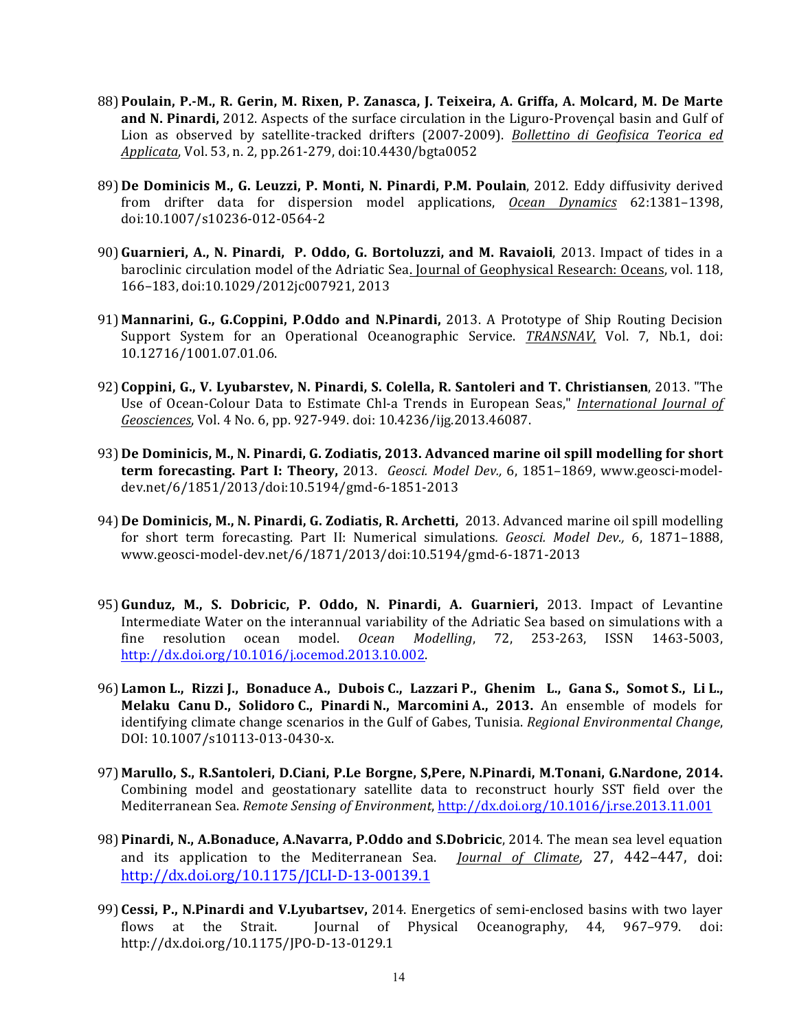- 88) **Poulain, P.-M., R. Gerin, M. Rixen, P. Zanasca, J. Teixeira, A. Griffa, A. Molcard, M. De Marte and N. Pinardi,** 2012. Aspects of the surface circulation in the Liguro-Provençal basin and Gulf of Lion as observed by satellite-tracked drifters (2007-2009). *Bollettino di Geofisica Teorica ed Applicata*, Vol. 53, n. 2, pp.261-279, doi:10.4430/bgta0052
- 89) De Dominicis M., G. Leuzzi, P. Monti, N. Pinardi, P.M. Poulain, 2012. Eddy diffusivity derived from drifter data for dispersion model applications, *Ocean Dynamics* 62:1381–1398, doi:10.1007/s10236-012-0564-2
- 90) Guarnieri, A., N. Pinardi, P. Oddo, G. Bortoluzzi, and M. Ravaioli, 2013. Impact of tides in a baroclinic circulation model of the Adriatic Sea. Journal of Geophysical Research: Oceans, vol. 118, 166–183, doi:10.1029/2012jc007921, 2013
- 91) Mannarini, G., G.Coppini, P.Oddo and N.Pinardi, 2013. A Prototype of Ship Routing Decision Support System for an Operational Oceanographic Service. *TRANSNAV*, Vol. 7, Nb.1, doi: 10.12716/1001.07.01.06.
- 92) Coppini, G., V. Lyubarstev, N. Pinardi, S. Colella, R. Santoleri and T. Christiansen, 2013. "The Use of Ocean-Colour Data to Estimate Chl-a Trends in European Seas," *International Journal of Geosciences*, Vol. 4 No. 6, pp. 927-949. doi: 10.4236/ijg.2013.46087.
- 93) De Dominicis, M., N. Pinardi, G. Zodiatis, 2013. Advanced marine oil spill modelling for short **term forecasting. Part I: Theory,** 2013. *Geosci. Model Dev.*, 6, 1851–1869, www.geosci-modeldev.net/6/1851/2013/doi:10.5194/gmd-6-1851-2013
- 94) **De Dominicis, M., N. Pinardi, G. Zodiatis, R. Archetti,** 2013. Advanced marine oil spill modelling for short term forecasting. Part II: Numerical simulations. *Geosci. Model Dev.*, 6, 1871–1888, www.geosci-model-dev.net/6/1871/2013/doi:10.5194/gmd-6-1871-2013
- 95) Gunduz, M., S. Dobricic, P. Oddo, N. Pinardi, A. Guarnieri, 2013. Impact of Levantine Intermediate Water on the interannual variability of the Adriatic Sea based on simulations with a fine resolution ocean model. *Ocean Modelling*, 72, 253-263, ISSN 1463-5003, http://dx.doi.org/10.1016/j.ocemod.2013.10.002.
- 96) **Lamon L., Rizzi J., Bonaduce A., Dubois C., Lazzari P., Ghenim L., Gana S., Somot S., Li L., Melaku Canu D., Solidoro C., Pinardi N., Marcomini A., 2013.** An ensemble of models for identifying climate change scenarios in the Gulf of Gabes, Tunisia. *Regional Environmental Change*, DOI: 10.1007/s10113-013-0430-x.
- 97) Marullo, S., R.Santoleri, D.Ciani, P.Le Borgne, S,Pere, N.Pinardi, M.Tonani, G.Nardone, 2014. Combining model and geostationary satellite data to reconstruct hourly SST field over the Mediterranean Sea. *Remote Sensing of Environment*, http://dx.doi.org/10.1016/j.rse.2013.11.001
- 98) **Pinardi, N., A.Bonaduce, A.Navarra, P.Oddo and S.Dobricic**, 2014. The mean sea level equation and its application to the Mediterranean Sea. *Journal of Climate*, 27, 442–447, doi: http://dx.doi.org/10.1175/JCLI-D-13-00139.1
- 99) Cessi, P., N.Pinardi and V.Lyubartsev, 2014. Energetics of semi-enclosed basins with two layer flows at the Strait. Journal of Physical Oceanography, 44, 967–979. doi: http://dx.doi.org/10.1175/JPO-D-13-0129.1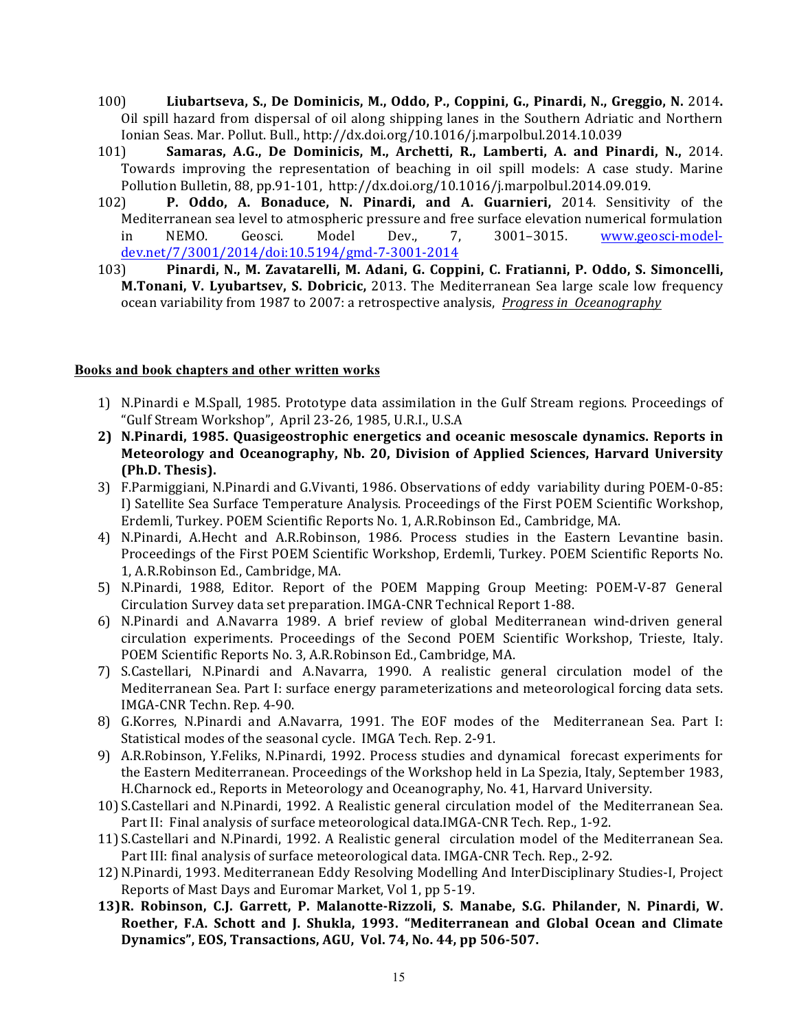- 100) Liubartseva, S., De Dominicis, M., Oddo, P., Coppini, G., Pinardi, N., Greggio, N. 2014. Oil spill hazard from dispersal of oil along shipping lanes in the Southern Adriatic and Northern Ionian Seas. Mar. Pollut. Bull., http://dx.doi.org/10.1016/j.marpolbul.2014.10.039
- 101) **Samaras, A.G., De Dominicis, M., Archetti, R., Lamberti, A. and Pinardi, N., 2014.** Towards improving the representation of beaching in oil spill models: A case study. Marine Pollution Bulletin, 88, pp.91-101, http://dx.doi.org/10.1016/j.marpolbul.2014.09.019.
- 102) **P. Oddo, A. Bonaduce, N. Pinardi, and A. Guarnieri,**  2014. Sensitivity of the Mediterranean sea level to atmospheric pressure and free surface elevation numerical formulation in NEMO. Geosci. Model Dev., 7, 3001-3015. www.geosci-modeldev.net/7/3001/2014/doi:10.5194/gmd-7-3001-2014
- 103) Pinardi, N., M. Zavatarelli, M. Adani, G. Coppini, C. Fratianni, P. Oddo, S. Simoncelli, **M.Tonani, V. Lyubartsev, S. Dobricic,** 2013. The Mediterranean Sea large scale low frequency ocean variability from 1987 to 2007: a retrospective analysis, *Progress in Oceanography*

#### **Books and book chapters and other written works**

- 1) N.Pinardi e M.Spall, 1985. Prototype data assimilation in the Gulf Stream regions. Proceedings of "Gulf Stream Workshop", April 23-26, 1985, U.R.I., U.S.A
- 2) N.Pinardi, 1985. Quasigeostrophic energetics and oceanic mesoscale dynamics. Reports in **Meteorology and Oceanography, Nb. 20, Division of Applied Sciences, Harvard University (Ph.D. Thesis).**
- 3) F.Parmiggiani, N.Pinardi and G.Vivanti, 1986. Observations of eddy variability during POEM-0-85: I) Satellite Sea Surface Temperature Analysis. Proceedings of the First POEM Scientific Workshop, Erdemli, Turkey. POEM Scientific Reports No. 1, A.R.Robinson Ed., Cambridge, MA.
- 4) N.Pinardi, A.Hecht and A.R.Robinson, 1986. Process studies in the Eastern Levantine basin. Proceedings of the First POEM Scientific Workshop, Erdemli, Turkey. POEM Scientific Reports No. 1, A.R.Robinson Ed., Cambridge, MA.
- 5) N.Pinardi, 1988, Editor. Report of the POEM Mapping Group Meeting: POEM-V-87 General Circulation Survey data set preparation. IMGA-CNR Technical Report 1-88.
- 6) N.Pinardi and A.Navarra 1989. A brief review of global Mediterranean wind-driven general circulation experiments. Proceedings of the Second POEM Scientific Workshop, Trieste, Italy. POEM Scientific Reports No. 3, A.R.Robinson Ed., Cambridge, MA.
- 7) S.Castellari, N.Pinardi and A.Navarra, 1990. A realistic general circulation model of the Mediterranean Sea. Part I: surface energy parameterizations and meteorological forcing data sets. IMGA-CNR Techn. Rep. 4-90.
- 8) G.Korres, N.Pinardi and A.Navarra, 1991. The EOF modes of the Mediterranean Sea. Part I: Statistical modes of the seasonal cycle. IMGA Tech. Rep. 2-91.
- 9) A.R.Robinson, Y.Feliks, N.Pinardi, 1992. Process studies and dynamical forecast experiments for the Eastern Mediterranean. Proceedings of the Workshop held in La Spezia, Italy, September 1983, H.Charnock ed., Reports in Meteorology and Oceanography, No. 41, Harvard University.
- 10) S.Castellari and N.Pinardi, 1992. A Realistic general circulation model of the Mediterranean Sea. Part II: Final analysis of surface meteorological data.IMGA-CNR Tech. Rep., 1-92.
- 11) S.Castellari and N.Pinardi, 1992. A Realistic general circulation model of the Mediterranean Sea. Part III: final analysis of surface meteorological data. IMGA-CNR Tech. Rep., 2-92.
- 12) N.Pinardi, 1993. Mediterranean Eddy Resolving Modelling And InterDisciplinary Studies-I, Project Reports of Mast Days and Euromar Market, Vol 1, pp 5-19.
- **13)R. Robinson, C.J. Garrett, P. Malanotte-Rizzoli, S. Manabe, S.G. Philander, N. Pinardi, W.**  Roether, F.A. Schott and J. Shukla, 1993. "Mediterranean and Global Ocean and Climate Dynamics", EOS, Transactions, AGU, Vol. 74, No. 44, pp 506-507.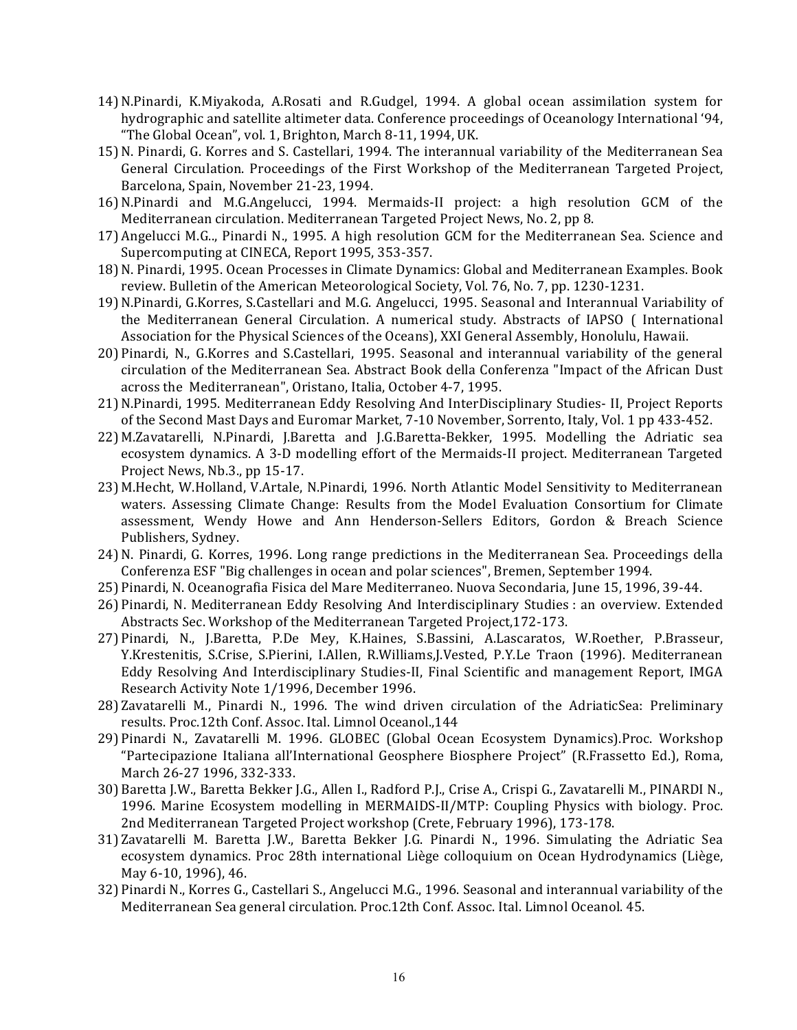- 14) N.Pinardi, K.Miyakoda, A.Rosati and R.Gudgel, 1994. A global ocean assimilation system for hydrographic and satellite altimeter data. Conference proceedings of Oceanology International '94, "The Global Ocean", vol. 1, Brighton, March 8-11, 1994, UK.
- 15) N. Pinardi, G. Korres and S. Castellari, 1994. The interannual variability of the Mediterranean Sea General Circulation. Proceedings of the First Workshop of the Mediterranean Targeted Project, Barcelona, Spain, November 21-23, 1994.
- 16)N.Pinardi and M.G.Angelucci, 1994. Mermaids-II project: a high resolution GCM of the Mediterranean circulation. Mediterranean Targeted Project News, No. 2, pp 8.
- 17) Angelucci M.G.., Pinardi N., 1995. A high resolution GCM for the Mediterranean Sea. Science and Supercomputing at CINECA, Report 1995, 353-357.
- 18) N. Pinardi, 1995. Ocean Processes in Climate Dynamics: Global and Mediterranean Examples. Book review. Bulletin of the American Meteorological Society, Vol. 76, No. 7, pp. 1230-1231.
- 19) N.Pinardi, G.Korres, S.Castellari and M.G. Angelucci, 1995. Seasonal and Interannual Variability of the Mediterranean General Circulation. A numerical study. Abstracts of IAPSO (International Association for the Physical Sciences of the Oceans), XXI General Assembly, Honolulu, Hawaii.
- 20) Pinardi, N., G.Korres and S.Castellari, 1995. Seasonal and interannual variability of the general circulation of the Mediterranean Sea. Abstract Book della Conferenza "Impact of the African Dust across the Mediterranean", Oristano, Italia, October 4-7, 1995.
- 21) N.Pinardi, 1995. Mediterranean Eddy Resolving And InterDisciplinary Studies- II, Project Reports of the Second Mast Days and Euromar Market, 7-10 November, Sorrento, Italy, Vol. 1 pp 433-452.
- 22) M.Zavatarelli, N.Pinardi, J.Baretta and J.G.Baretta-Bekker, 1995. Modelling the Adriatic sea ecosystem dynamics. A 3-D modelling effort of the Mermaids-II project. Mediterranean Targeted Project News, Nb.3., pp 15-17.
- 23) M.Hecht, W.Holland, V.Artale, N.Pinardi, 1996. North Atlantic Model Sensitivity to Mediterranean waters. Assessing Climate Change: Results from the Model Evaluation Consortium for Climate assessment, Wendy Howe and Ann Henderson-Sellers Editors, Gordon & Breach Science Publishers, Sydney.
- 24) N. Pinardi, G. Korres, 1996. Long range predictions in the Mediterranean Sea. Proceedings della Conferenza ESF "Big challenges in ocean and polar sciences", Bremen, September 1994.
- 25) Pinardi, N. Oceanografia Fisica del Mare Mediterraneo. Nuova Secondaria, June 15, 1996, 39-44.
- 26) Pinardi, N. Mediterranean Eddy Resolving And Interdisciplinary Studies : an overview. Extended Abstracts Sec. Workshop of the Mediterranean Targeted Project, 172-173.
- 27) Pinardi, N., J.Baretta, P.De Mey, K.Haines, S.Bassini, A.Lascaratos, W.Roether, P.Brasseur, Y.Krestenitis, S.Crise, S.Pierini, I.Allen, R.Williams,J.Vested, P.Y.Le Traon (1996). Mediterranean Eddy Resolving And Interdisciplinary Studies-II, Final Scientific and management Report, IMGA Research Activity Note 1/1996, December 1996.
- 28) Zavatarelli M., Pinardi N., 1996. The wind driven circulation of the AdriaticSea: Preliminary results. Proc.12th Conf. Assoc. Ital. Limnol Oceanol.,144
- 29) Pinardi N., Zavatarelli M. 1996. GLOBEC (Global Ocean Ecosystem Dynamics).Proc. Workshop "Partecipazione Italiana all'International Geosphere Biosphere Project" (R.Frassetto Ed.), Roma, March 26-27 1996, 332-333.
- 30) Baretta J.W., Baretta Bekker J.G., Allen I., Radford P.J., Crise A., Crispi G., Zavatarelli M., PINARDI N., 1996. Marine Ecosystem modelling in MERMAIDS-II/MTP: Coupling Physics with biology. Proc. 2nd Mediterranean Targeted Project workshop (Crete, February 1996), 173-178.
- 31) Zavatarelli M. Baretta J.W., Baretta Bekker J.G. Pinardi N., 1996. Simulating the Adriatic Sea ecosystem dynamics. Proc 28th international Liège colloquium on Ocean Hydrodynamics (Liège, May 6-10, 1996), 46.
- 32) Pinardi N., Korres G., Castellari S., Angelucci M.G., 1996. Seasonal and interannual variability of the Mediterranean Sea general circulation. Proc.12th Conf. Assoc. Ital. Limnol Oceanol. 45.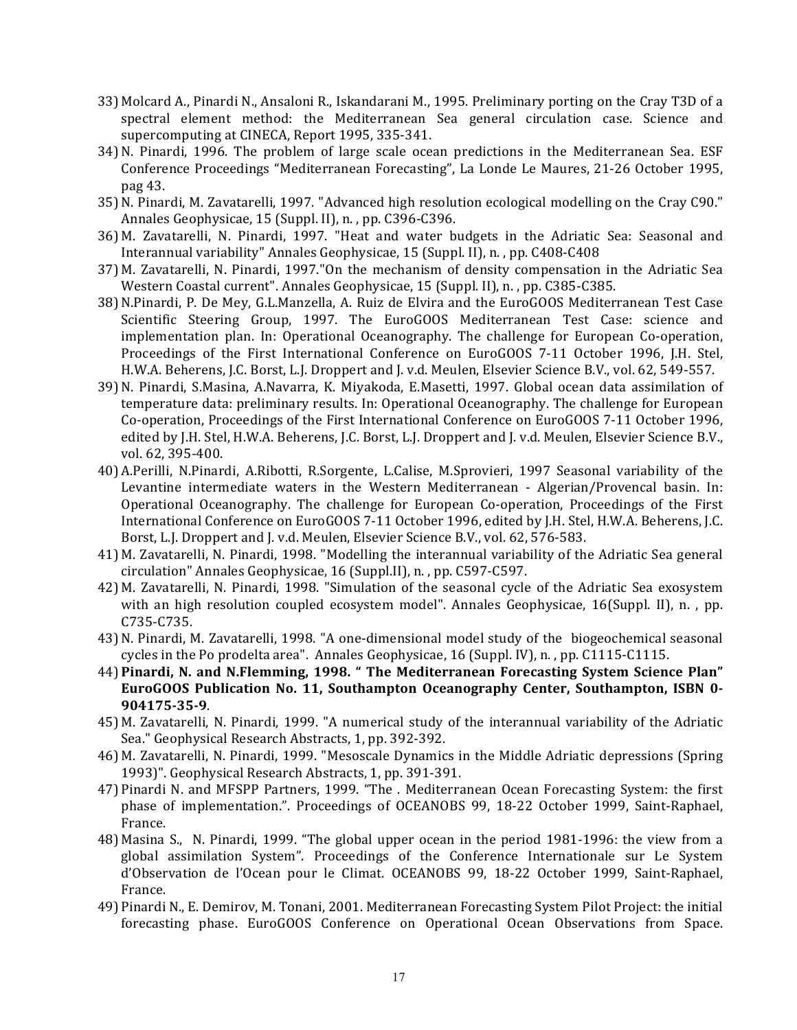- 33) Molcard A., Pinardi N., Ansaloni R., Iskandarani M., 1995. Preliminary porting on the Cray T3D of a spectral element method: the Mediterranean Sea general circulation case. Science and supercomputing at CINECA, Report 1995, 335-341.
- 34) N. Pinardi, 1996. The problem of large scale ocean predictions in the Mediterranean Sea. ESF Conference Proceedings "Mediterranean Forecasting", La Londe Le Maures, 21-26 October 1995, pag 43.
- 35) N. Pinardi, M. Zavatarelli, 1997. "Advanced high resolution ecological modelling on the Cray C90." Annales Geophysicae, 15 (Suppl. II), n., pp. C396-C396.
- 36) M. Zavatarelli, N. Pinardi, 1997. "Heat and water budgets in the Adriatic Sea: Seasonal and Interannual variability" Annales Geophysicae, 15 (Suppl. II), n., pp. C408-C408
- 37) M. Zavatarelli, N. Pinardi, 1997."On the mechanism of density compensation in the Adriatic Sea Western Coastal current". Annales Geophysicae, 15 (Suppl. II), n., pp. C385-C385.
- 38) N.Pinardi, P. De Mey, G.L.Manzella, A. Ruiz de Elvira and the EuroGOOS Mediterranean Test Case Scientific Steering Group, 1997. The EuroGOOS Mediterranean Test Case: science and implementation plan. In: Operational Oceanography. The challenge for European Co-operation, Proceedings of the First International Conference on EuroGOOS 7-11 October 1996, J.H. Stel, H.W.A. Beherens, J.C. Borst, L.J. Droppert and J. v.d. Meulen, Elsevier Science B.V., vol. 62, 549-557.
- 39) N. Pinardi, S.Masina, A.Navarra, K. Miyakoda, E.Masetti, 1997. Global ocean data assimilation of temperature data: preliminary results. In: Operational Oceanography. The challenge for European Co-operation, Proceedings of the First International Conference on EuroGOOS 7-11 October 1996, edited by J.H. Stel, H.W.A. Beherens, J.C. Borst, L.J. Droppert and J. v.d. Meulen, Elsevier Science B.V., vol. 62, 395-400.
- 40) A.Perilli, N.Pinardi, A.Ribotti, R.Sorgente, L.Calise, M.Sprovieri, 1997 Seasonal variability of the Levantine intermediate waters in the Western Mediterranean - Algerian/Provencal basin. In: Operational Oceanography. The challenge for European Co-operation, Proceedings of the First International Conference on EuroGOOS 7-11 October 1996, edited by J.H. Stel, H.W.A. Beherens, J.C. Borst, L.J. Droppert and J. v.d. Meulen, Elsevier Science B.V., vol. 62, 576-583.
- 41) M. Zavatarelli, N. Pinardi, 1998. "Modelling the interannual variability of the Adriatic Sea general circulation" Annales Geophysicae, 16 (Suppl.II), n., pp. C597-C597.
- 42) M. Zavatarelli, N. Pinardi, 1998. "Simulation of the seasonal cycle of the Adriatic Sea exosystem with an high resolution coupled ecosystem model". Annales Geophysicae,  $16(Suppl. II)$ , n., pp. C735-C735.
- 43) N. Pinardi, M. Zavatarelli, 1998. "A one-dimensional model study of the biogeochemical seasonal cycles in the Po prodelta area". Annales Geophysicae,  $16$  (Suppl. IV), n., pp. C1115-C1115.
- 44) Pinardi, N. and N.Flemming, 1998. " The Mediterranean Forecasting System Science Plan" **EuroGOOS** Publication No. 11, Southampton Oceanography Center, Southampton, ISBN 0-**904175-35-9**.
- 45) M. Zavatarelli, N. Pinardi, 1999. "A numerical study of the interannual variability of the Adriatic Sea." Geophysical Research Abstracts, 1, pp. 392-392.
- 46) M. Zavatarelli, N. Pinardi, 1999. "Mesoscale Dynamics in the Middle Adriatic depressions (Spring 1993)". Geophysical Research Abstracts, 1, pp. 391-391.
- 47) Pinardi N. and MFSPP Partners, 1999. "The . Mediterranean Ocean Forecasting System: the first phase of implementation.". Proceedings of OCEANOBS 99, 18-22 October 1999, Saint-Raphael, France.
- 48) Masina S., N. Pinardi, 1999. "The global upper ocean in the period 1981-1996: the view from a global assimilation System". Proceedings of the Conference Internationale sur Le System d'Observation de l'Ocean pour le Climat. OCEANOBS 99, 18-22 October 1999, Saint-Raphael, France.
- 49) Pinardi N., E. Demirov, M. Tonani, 2001. Mediterranean Forecasting System Pilot Project: the initial forecasting phase. EuroGOOS Conference on Operational Ocean Observations from Space.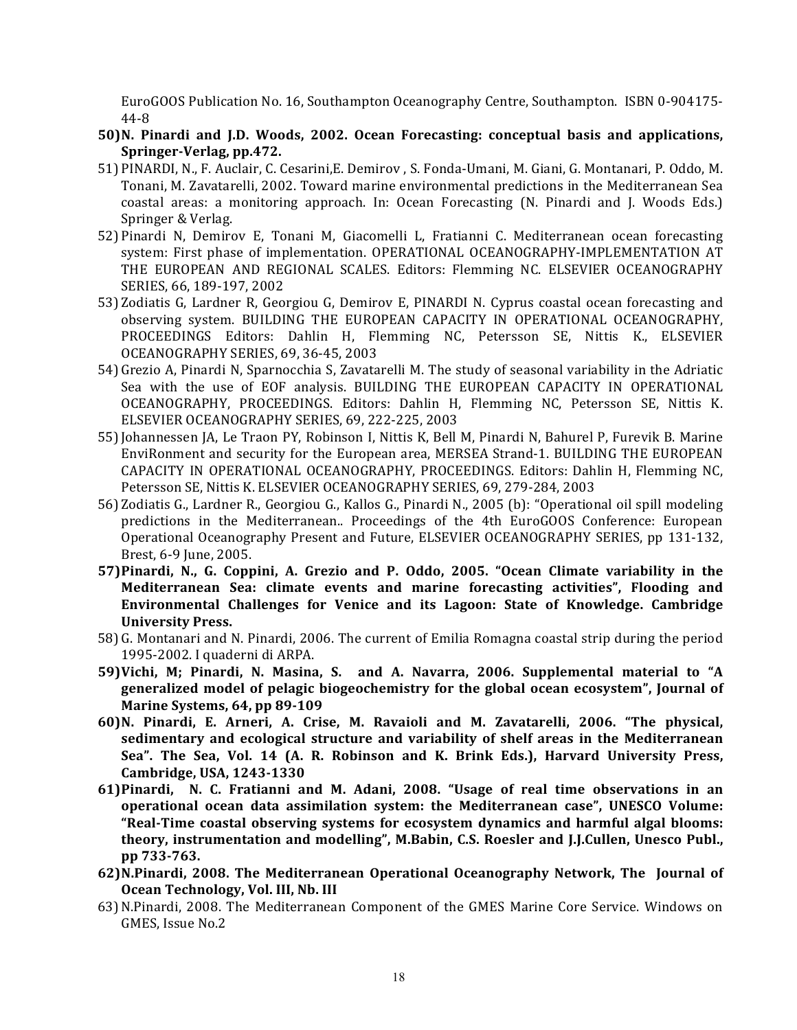EuroGOOS Publication No. 16, Southampton Oceanography Centre, Southampton. ISBN 0-904175-44-8

- 50)N. Pinardi and J.D. Woods, 2002. Ocean Forecasting: conceptual basis and applications, Springer-Verlag, pp.472.
- 51) PINARDI, N., F. Auclair, C. Cesarini, E. Demirov, S. Fonda-Umani, M. Giani, G. Montanari, P. Oddo, M. Tonani, M. Zavatarelli, 2002. Toward marine environmental predictions in the Mediterranean Sea coastal areas: a monitoring approach. In: Ocean Forecasting (N. Pinardi and J. Woods Eds.) Springer & Verlag.
- 52) Pinardi N, Demirov E, Tonani M, Giacomelli L, Fratianni C. Mediterranean ocean forecasting system: First phase of implementation. OPERATIONAL OCEANOGRAPHY-IMPLEMENTATION AT THE EUROPEAN AND REGIONAL SCALES. Editors: Flemming NC. ELSEVIER OCEANOGRAPHY SERIES, 66, 189-197, 2002
- 53) Zodiatis G, Lardner R, Georgiou G, Demirov E, PINARDI N. Cyprus coastal ocean forecasting and observing system. BUILDING THE EUROPEAN CAPACITY IN OPERATIONAL OCEANOGRAPHY, PROCEEDINGS Editors: Dahlin H, Flemming NC, Petersson SE, Nittis K., ELSEVIER OCEANOGRAPHY SERIES, 69, 36-45, 2003
- 54) Grezio A, Pinardi N, Sparnocchia S, Zavatarelli M. The study of seasonal variability in the Adriatic Sea with the use of EOF analysis. BUILDING THE EUROPEAN CAPACITY IN OPERATIONAL OCEANOGRAPHY, PROCEEDINGS. Editors: Dahlin H, Flemming NC, Petersson SE, Nittis K. ELSEVIER OCEANOGRAPHY SERIES, 69, 222-225, 2003
- 55) Johannessen JA, Le Traon PY, Robinson I, Nittis K, Bell M, Pinardi N, Bahurel P, Furevik B. Marine EnviRonment and security for the European area, MERSEA Strand-1. BUILDING THE EUROPEAN CAPACITY IN OPERATIONAL OCEANOGRAPHY, PROCEEDINGS. Editors: Dahlin H, Flemming NC, Petersson SE, Nittis K. ELSEVIER OCEANOGRAPHY SERIES, 69, 279-284, 2003
- 56) Zodiatis G., Lardner R., Georgiou G., Kallos G., Pinardi N., 2005 (b): "Operational oil spill modeling predictions in the Mediterranean.. Proceedings of the 4th EuroGOOS Conference: European Operational Oceanography Present and Future, ELSEVIER OCEANOGRAPHY SERIES, pp 131-132, Brest, 6-9 June, 2005.
- **57)Pinardi, N., G. Coppini, A. Grezio and P. Oddo, 2005. "Ocean Climate variability in the Mediterranean Sea: climate events and marine forecasting activities", Flooding and Environmental Challenges for Venice and its Lagoon: State of Knowledge. Cambridge University Press.**
- 58) G. Montanari and N. Pinardi, 2006. The current of Emilia Romagna coastal strip during the period 1995-2002. I quaderni di ARPA.
- 59) Vichi, M; Pinardi, N. Masina, S. and A. Navarra, 2006. Supplemental material to "A generalized model of pelagic biogeochemistry for the global ocean ecosystem", Journal of **Marine Systems, 64, pp 89-109**
- **60)N. Pinardi, E. Arneri, A. Crise, M. Ravaioli and M. Zavatarelli, 2006. "The physical,**  sedimentary and ecological structure and variability of shelf areas in the Mediterranean Sea". The Sea, Vol. 14 (A. R. Robinson and K. Brink Eds.), Harvard University Press, **Cambridge, USA, 1243-1330**
- **61)Pinardi, N. C. Fratianni and M. Adani, 2008. "Usage of real time observations in an operational ocean data assimilation system: the Mediterranean case", UNESCO Volume:** "Real-Time coastal observing systems for ecosystem dynamics and harmful algal blooms: theory, instrumentation and modelling", M.Babin, C.S. Roesler and J.J.Cullen, Unesco Publ., **pp 733-763.**
- 62) N.Pinardi, 2008. The Mediterranean Operational Oceanography Network, The Journal of **Ocean Technology, Vol. III, Nb. III**
- 63) N.Pinardi, 2008. The Mediterranean Component of the GMES Marine Core Service. Windows on GMES, Issue No.2